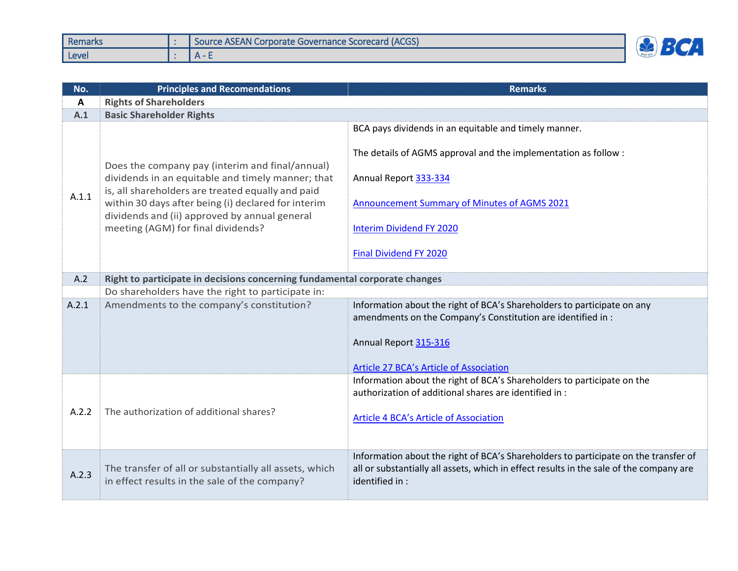| <b>Remarks</b> | Source ASEAN Corporate Governance Scorecard (ACGS) |  |
|----------------|----------------------------------------------------|--|
| Level          |                                                    |  |

| No.   | <b>Principles and Recomendations</b>                                                                                                                                                                                                                                                                    | <b>Remarks</b>                                                                                                                                                                                                                                                |  |  |
|-------|---------------------------------------------------------------------------------------------------------------------------------------------------------------------------------------------------------------------------------------------------------------------------------------------------------|---------------------------------------------------------------------------------------------------------------------------------------------------------------------------------------------------------------------------------------------------------------|--|--|
| A     | <b>Rights of Shareholders</b>                                                                                                                                                                                                                                                                           |                                                                                                                                                                                                                                                               |  |  |
| A.1   | <b>Basic Shareholder Rights</b>                                                                                                                                                                                                                                                                         |                                                                                                                                                                                                                                                               |  |  |
| A.1.1 | Does the company pay (interim and final/annual)<br>dividends in an equitable and timely manner; that<br>is, all shareholders are treated equally and paid<br>within 30 days after being (i) declared for interim<br>dividends and (ii) approved by annual general<br>meeting (AGM) for final dividends? | BCA pays dividends in an equitable and timely manner.<br>The details of AGMS approval and the implementation as follow:<br>Annual Report 333-334<br>Announcement Summary of Minutes of AGMS 2021<br><b>Interim Dividend FY 2020</b><br>Final Dividend FY 2020 |  |  |
| A.2   | Right to participate in decisions concerning fundamental corporate changes                                                                                                                                                                                                                              |                                                                                                                                                                                                                                                               |  |  |
|       | Do shareholders have the right to participate in:                                                                                                                                                                                                                                                       |                                                                                                                                                                                                                                                               |  |  |
| A.2.1 | Amendments to the company's constitution?                                                                                                                                                                                                                                                               | Information about the right of BCA's Shareholders to participate on any<br>amendments on the Company's Constitution are identified in :<br>Annual Report 315-316<br>Article 27 BCA's Article of Association                                                   |  |  |
| A.2.2 | The authorization of additional shares?                                                                                                                                                                                                                                                                 | Information about the right of BCA's Shareholders to participate on the<br>authorization of additional shares are identified in:<br>Article 4 BCA's Article of Association                                                                                    |  |  |
| A.2.3 | The transfer of all or substantially all assets, which<br>in effect results in the sale of the company?                                                                                                                                                                                                 | Information about the right of BCA's Shareholders to participate on the transfer of<br>all or substantially all assets, which in effect results in the sale of the company are<br>identified in:                                                              |  |  |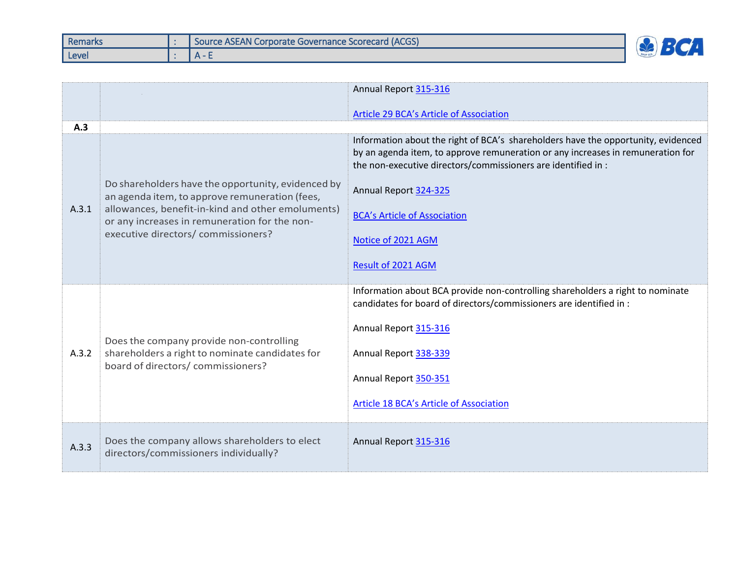| Remarks | Source ASEAN Corporate Governance Scorecard (ACGS) |  |
|---------|----------------------------------------------------|--|
| Level   | $\mathbf{v}$                                       |  |

|       |                                                                                                                                                                                                                                                   | Annual Report 315-316                                                                                                                                                                                                                                                                                                                             |
|-------|---------------------------------------------------------------------------------------------------------------------------------------------------------------------------------------------------------------------------------------------------|---------------------------------------------------------------------------------------------------------------------------------------------------------------------------------------------------------------------------------------------------------------------------------------------------------------------------------------------------|
|       |                                                                                                                                                                                                                                                   | Article 29 BCA's Article of Association                                                                                                                                                                                                                                                                                                           |
| A.3   |                                                                                                                                                                                                                                                   |                                                                                                                                                                                                                                                                                                                                                   |
| A.3.1 | Do shareholders have the opportunity, evidenced by<br>an agenda item, to approve remuneration (fees,<br>allowances, benefit-in-kind and other emoluments)<br>or any increases in remuneration for the non-<br>executive directors/ commissioners? | Information about the right of BCA's shareholders have the opportunity, evidenced<br>by an agenda item, to approve remuneration or any increases in remuneration for<br>the non-executive directors/commissioners are identified in :<br>Annual Report 324-325<br><b>BCA's Article of Association</b><br>Notice of 2021 AGM<br>Result of 2021 AGM |
| A.3.2 | Does the company provide non-controlling<br>shareholders a right to nominate candidates for<br>board of directors/ commissioners?                                                                                                                 | Information about BCA provide non-controlling shareholders a right to nominate<br>candidates for board of directors/commissioners are identified in :<br>Annual Report 315-316<br>Annual Report 338-339<br>Annual Report 350-351<br><b>Article 18 BCA's Article of Association</b>                                                                |
| A.3.3 | Does the company allows shareholders to elect<br>directors/commissioners individually?                                                                                                                                                            | Annual Report 315-316                                                                                                                                                                                                                                                                                                                             |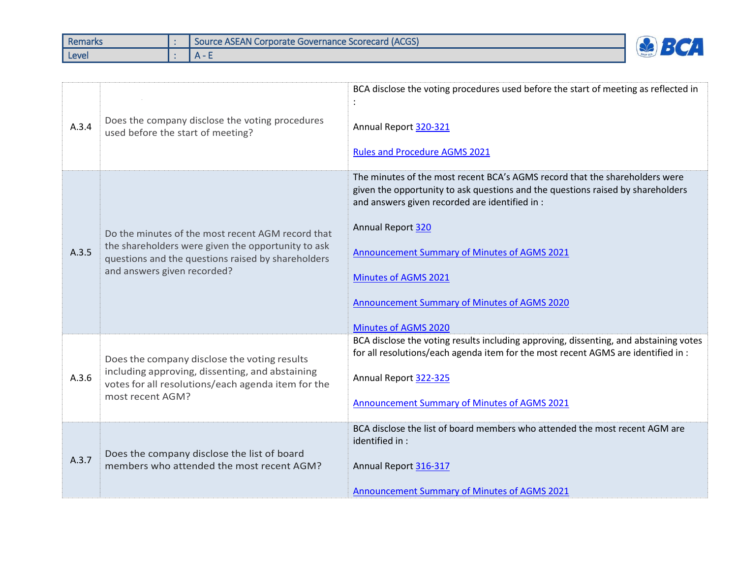| Remarks | <b>I Source ASEAN Corporate Governance Scorecard (ACGS)</b> |  |
|---------|-------------------------------------------------------------|--|
| Level   | $\mathbf{u}$                                                |  |

| A.3.4 | Does the company disclose the voting procedures<br>used before the start of meeting?                                                                                                         | BCA disclose the voting procedures used before the start of meeting as reflected in<br>Annual Report 320-321<br><b>Rules and Procedure AGMS 2021</b>                                                                                                                                                                                                                                                       |
|-------|----------------------------------------------------------------------------------------------------------------------------------------------------------------------------------------------|------------------------------------------------------------------------------------------------------------------------------------------------------------------------------------------------------------------------------------------------------------------------------------------------------------------------------------------------------------------------------------------------------------|
| A.3.5 | Do the minutes of the most recent AGM record that<br>the shareholders were given the opportunity to ask<br>questions and the questions raised by shareholders<br>and answers given recorded? | The minutes of the most recent BCA's AGMS record that the shareholders were<br>given the opportunity to ask questions and the questions raised by shareholders<br>and answers given recorded are identified in :<br>Annual Report 320<br><b>Announcement Summary of Minutes of AGMS 2021</b><br><b>Minutes of AGMS 2021</b><br>Announcement Summary of Minutes of AGMS 2020<br><b>Minutes of AGMS 2020</b> |
| A.3.6 | Does the company disclose the voting results<br>including approving, dissenting, and abstaining<br>votes for all resolutions/each agenda item for the<br>most recent AGM?                    | BCA disclose the voting results including approving, dissenting, and abstaining votes<br>for all resolutions/each agenda item for the most recent AGMS are identified in :<br>Annual Report 322-325<br>Announcement Summary of Minutes of AGMS 2021                                                                                                                                                        |
| A.3.7 | Does the company disclose the list of board<br>members who attended the most recent AGM?                                                                                                     | BCA disclose the list of board members who attended the most recent AGM are<br>identified in :<br>Annual Report 316-317<br><b>Announcement Summary of Minutes of AGMS 2021</b>                                                                                                                                                                                                                             |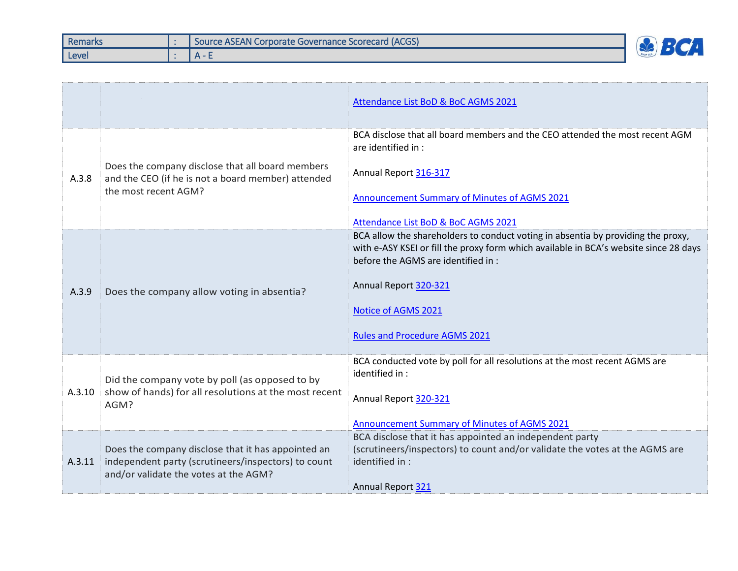| Remarks | Source ASEAN Corporate Governance Scorecard (ACGS) |  |
|---------|----------------------------------------------------|--|
| Level   | $\sim$ $\sim$                                      |  |

|        |                                                                                                                                                    | Attendance List BoD & BoC AGMS 2021                                                                                                                                                                                                                                                                      |
|--------|----------------------------------------------------------------------------------------------------------------------------------------------------|----------------------------------------------------------------------------------------------------------------------------------------------------------------------------------------------------------------------------------------------------------------------------------------------------------|
| A.3.8  | Does the company disclose that all board members<br>and the CEO (if he is not a board member) attended<br>the most recent AGM?                     | BCA disclose that all board members and the CEO attended the most recent AGM<br>are identified in :<br>Annual Report 316-317<br><b>Announcement Summary of Minutes of AGMS 2021</b><br>Attendance List BoD & BoC AGMS 2021                                                                               |
| A.3.9  | Does the company allow voting in absentia?                                                                                                         | BCA allow the shareholders to conduct voting in absentia by providing the proxy,<br>with e-ASY KSEI or fill the proxy form which available in BCA's website since 28 days<br>before the AGMS are identified in :<br>Annual Report 320-321<br>Notice of AGMS 2021<br><b>Rules and Procedure AGMS 2021</b> |
| A.3.10 | Did the company vote by poll (as opposed to by<br>show of hands) for all resolutions at the most recent<br>AGM?                                    | BCA conducted vote by poll for all resolutions at the most recent AGMS are<br>identified in :<br>Annual Report 320-321<br>Announcement Summary of Minutes of AGMS 2021                                                                                                                                   |
| A.3.11 | Does the company disclose that it has appointed an<br>independent party (scrutineers/inspectors) to count<br>and/or validate the votes at the AGM? | BCA disclose that it has appointed an independent party<br>(scrutineers/inspectors) to count and/or validate the votes at the AGMS are<br>identified in :<br>Annual Report 321                                                                                                                           |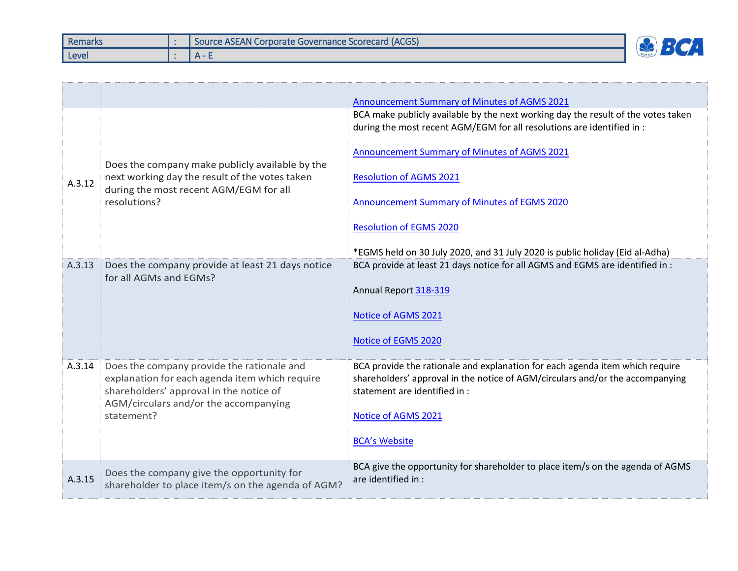| Remarks | Source ASEAN Corporate Governance Scorecard (ACGS) |  |
|---------|----------------------------------------------------|--|
| Level   | $\mathbf{u}$                                       |  |

|        |                                                                                                                                             | Announcement Summary of Minutes of AGMS 2021                                                                                                                  |
|--------|---------------------------------------------------------------------------------------------------------------------------------------------|---------------------------------------------------------------------------------------------------------------------------------------------------------------|
|        |                                                                                                                                             | BCA make publicly available by the next working day the result of the votes taken<br>during the most recent AGM/EGM for all resolutions are identified in :   |
|        | Does the company make publicly available by the<br>next working day the result of the votes taken<br>during the most recent AGM/EGM for all | Announcement Summary of Minutes of AGMS 2021                                                                                                                  |
| A.3.12 |                                                                                                                                             | <b>Resolution of AGMS 2021</b>                                                                                                                                |
|        | resolutions?                                                                                                                                | <b>Announcement Summary of Minutes of EGMS 2020</b>                                                                                                           |
|        |                                                                                                                                             | <b>Resolution of EGMS 2020</b>                                                                                                                                |
|        |                                                                                                                                             | *EGMS held on 30 July 2020, and 31 July 2020 is public holiday (Eid al-Adha)                                                                                  |
| A.3.13 | Does the company provide at least 21 days notice<br>for all AGMs and EGMs?                                                                  | BCA provide at least 21 days notice for all AGMS and EGMS are identified in :                                                                                 |
|        |                                                                                                                                             | Annual Report 318-319                                                                                                                                         |
|        |                                                                                                                                             | Notice of AGMS 2021                                                                                                                                           |
|        |                                                                                                                                             | Notice of EGMS 2020                                                                                                                                           |
| A.3.14 | Does the company provide the rationale and<br>explanation for each agenda item which require                                                | BCA provide the rationale and explanation for each agenda item which require<br>shareholders' approval in the notice of AGM/circulars and/or the accompanying |
|        | shareholders' approval in the notice of<br>AGM/circulars and/or the accompanying                                                            | statement are identified in :                                                                                                                                 |
|        | statement?                                                                                                                                  | Notice of AGMS 2021                                                                                                                                           |
|        |                                                                                                                                             | <b>BCA's Website</b>                                                                                                                                          |
| A.3.15 | Does the company give the opportunity for<br>shareholder to place item/s on the agenda of AGM?                                              | BCA give the opportunity for shareholder to place item/s on the agenda of AGMS<br>are identified in :                                                         |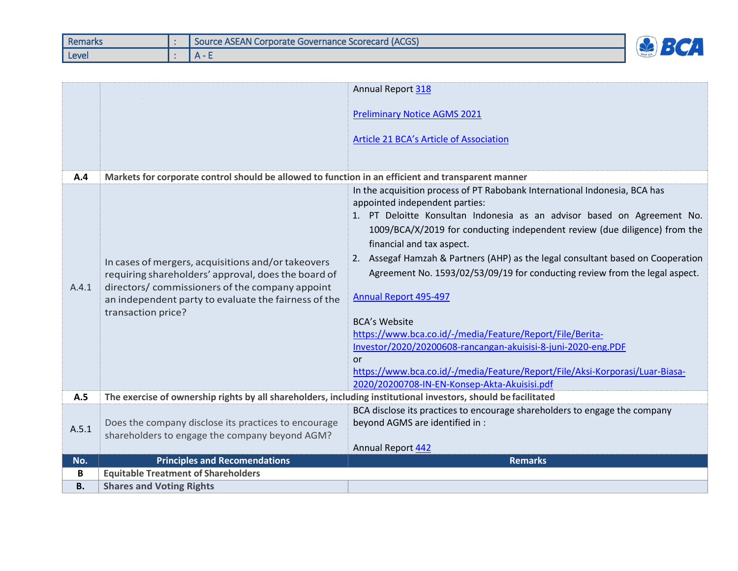| <b>Remarks</b> | Source ASEAN Corporate Governance Scorecard (ACGS) |  |
|----------------|----------------------------------------------------|--|
| Level          |                                                    |  |

|           |                                                                                                                                                                                                                                            | Annual Report 318                                                                                                                                                                                                                                                                                                                                                                                                                                                                                                                                                                                                                                                                                                                                                                                |
|-----------|--------------------------------------------------------------------------------------------------------------------------------------------------------------------------------------------------------------------------------------------|--------------------------------------------------------------------------------------------------------------------------------------------------------------------------------------------------------------------------------------------------------------------------------------------------------------------------------------------------------------------------------------------------------------------------------------------------------------------------------------------------------------------------------------------------------------------------------------------------------------------------------------------------------------------------------------------------------------------------------------------------------------------------------------------------|
|           |                                                                                                                                                                                                                                            | <b>Preliminary Notice AGMS 2021</b><br>Article 21 BCA's Article of Association                                                                                                                                                                                                                                                                                                                                                                                                                                                                                                                                                                                                                                                                                                                   |
| A.4       | Markets for corporate control should be allowed to function in an efficient and transparent manner                                                                                                                                         |                                                                                                                                                                                                                                                                                                                                                                                                                                                                                                                                                                                                                                                                                                                                                                                                  |
| A.4.1     | In cases of mergers, acquisitions and/or takeovers<br>requiring shareholders' approval, does the board of<br>directors/ commissioners of the company appoint<br>an independent party to evaluate the fairness of the<br>transaction price? | In the acquisition process of PT Rabobank International Indonesia, BCA has<br>appointed independent parties:<br>1. PT Deloitte Konsultan Indonesia as an advisor based on Agreement No.<br>1009/BCA/X/2019 for conducting independent review (due diligence) from the<br>financial and tax aspect.<br>2. Assegaf Hamzah & Partners (AHP) as the legal consultant based on Cooperation<br>Agreement No. 1593/02/53/09/19 for conducting review from the legal aspect.<br>Annual Report 495-497<br><b>BCA's Website</b><br>https://www.bca.co.id/-/media/Feature/Report/File/Berita-<br>Investor/2020/20200608-rancangan-akuisisi-8-juni-2020-eng.PDF<br><b>or</b><br>https://www.bca.co.id/-/media/Feature/Report/File/Aksi-Korporasi/Luar-Biasa-<br>2020/20200708-IN-EN-Konsep-Akta-Akuisisi.pdf |
| A.5       | The exercise of ownership rights by all shareholders, including institutional investors, should be facilitated                                                                                                                             |                                                                                                                                                                                                                                                                                                                                                                                                                                                                                                                                                                                                                                                                                                                                                                                                  |
| A.5.1     | Does the company disclose its practices to encourage<br>shareholders to engage the company beyond AGM?                                                                                                                                     | BCA disclose its practices to encourage shareholders to engage the company<br>beyond AGMS are identified in :<br>Annual Report 442                                                                                                                                                                                                                                                                                                                                                                                                                                                                                                                                                                                                                                                               |
| No.       | <b>Principles and Recomendations</b>                                                                                                                                                                                                       | <b>Remarks</b>                                                                                                                                                                                                                                                                                                                                                                                                                                                                                                                                                                                                                                                                                                                                                                                   |
| B         | <b>Equitable Treatment of Shareholders</b>                                                                                                                                                                                                 |                                                                                                                                                                                                                                                                                                                                                                                                                                                                                                                                                                                                                                                                                                                                                                                                  |
| <b>B.</b> | <b>Shares and Voting Rights</b>                                                                                                                                                                                                            |                                                                                                                                                                                                                                                                                                                                                                                                                                                                                                                                                                                                                                                                                                                                                                                                  |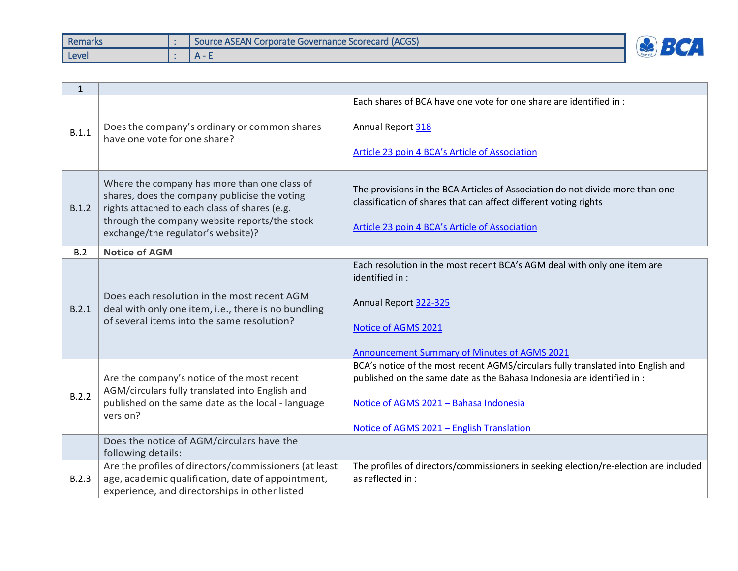| <b>Remarks</b> | Source ASEAN Corporate Governance Scorecard (ACGS) |  |
|----------------|----------------------------------------------------|--|
| Level          |                                                    |  |

| $\mathbf{1}$ |                                                                                                                                                                                                                                       |                                                                                                                                                                                                                                                   |
|--------------|---------------------------------------------------------------------------------------------------------------------------------------------------------------------------------------------------------------------------------------|---------------------------------------------------------------------------------------------------------------------------------------------------------------------------------------------------------------------------------------------------|
| B.1.1        | Does the company's ordinary or common shares<br>have one vote for one share?                                                                                                                                                          | Each shares of BCA have one vote for one share are identified in :<br>Annual Report 318<br>Article 23 poin 4 BCA's Article of Association                                                                                                         |
| B.1.2        | Where the company has more than one class of<br>shares, does the company publicise the voting<br>rights attached to each class of shares (e.g.<br>through the company website reports/the stock<br>exchange/the regulator's website)? | The provisions in the BCA Articles of Association do not divide more than one<br>classification of shares that can affect different voting rights<br>Article 23 poin 4 BCA's Article of Association                                               |
| B.2          | <b>Notice of AGM</b>                                                                                                                                                                                                                  |                                                                                                                                                                                                                                                   |
| B.2.1        | Does each resolution in the most recent AGM<br>deal with only one item, i.e., there is no bundling<br>of several items into the same resolution?                                                                                      | Each resolution in the most recent BCA's AGM deal with only one item are<br>identified in :<br>Annual Report 322-325<br>Notice of AGMS 2021<br>Announcement Summary of Minutes of AGMS 2021                                                       |
| B.2.2        | Are the company's notice of the most recent<br>AGM/circulars fully translated into English and<br>published on the same date as the local - language<br>version?                                                                      | BCA's notice of the most recent AGMS/circulars fully translated into English and<br>published on the same date as the Bahasa Indonesia are identified in :<br>Notice of AGMS 2021 - Bahasa Indonesia<br>Notice of AGMS 2021 - English Translation |
|              | Does the notice of AGM/circulars have the<br>following details:                                                                                                                                                                       |                                                                                                                                                                                                                                                   |
| B.2.3        | Are the profiles of directors/commissioners (at least<br>age, academic qualification, date of appointment,<br>experience, and directorships in other listed                                                                           | The profiles of directors/commissioners in seeking election/re-election are included<br>as reflected in :                                                                                                                                         |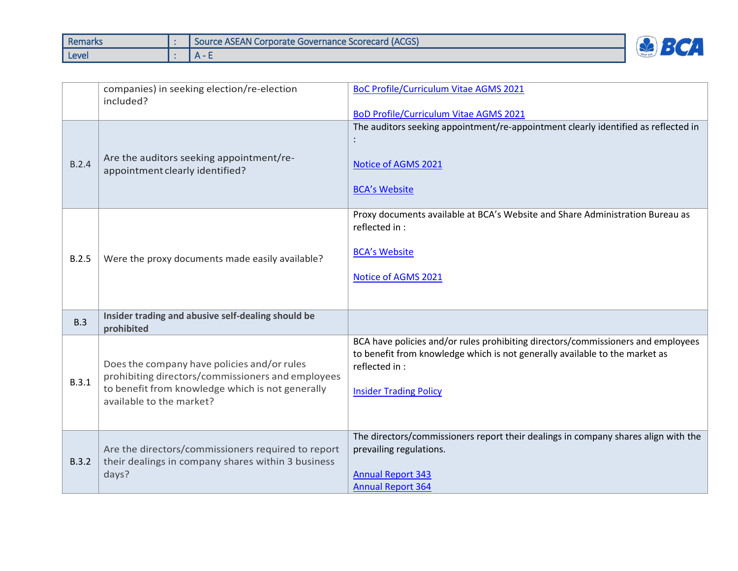| <b>Remarks</b> | <b>I Source ASEAN Corporate Governance Scorecard (ACGS)</b> |  |
|----------------|-------------------------------------------------------------|--|
| Level          | $\Delta$ -                                                  |  |

|       | companies) in seeking election/re-election<br>included?                                                                                                                          | <b>BoC Profile/Curriculum Vitae AGMS 2021</b><br><b>BoD Profile/Curriculum Vitae AGMS 2021</b>                                                                                                                     |
|-------|----------------------------------------------------------------------------------------------------------------------------------------------------------------------------------|--------------------------------------------------------------------------------------------------------------------------------------------------------------------------------------------------------------------|
| B.2.4 | Are the auditors seeking appointment/re-<br>appointment clearly identified?                                                                                                      | The auditors seeking appointment/re-appointment clearly identified as reflected in<br>Notice of AGMS 2021<br><b>BCA's Website</b>                                                                                  |
| B.2.5 | Were the proxy documents made easily available?                                                                                                                                  | Proxy documents available at BCA's Website and Share Administration Bureau as<br>reflected in :<br><b>BCA's Website</b><br>Notice of AGMS 2021                                                                     |
| B.3   | Insider trading and abusive self-dealing should be<br>prohibited                                                                                                                 |                                                                                                                                                                                                                    |
| B.3.1 | Does the company have policies and/or rules<br>prohibiting directors/commissioners and employees<br>to benefit from knowledge which is not generally<br>available to the market? | BCA have policies and/or rules prohibiting directors/commissioners and employees<br>to benefit from knowledge which is not generally available to the market as<br>reflected in :<br><b>Insider Trading Policy</b> |
| B.3.2 | Are the directors/commissioners required to report<br>their dealings in company shares within 3 business<br>days?                                                                | The directors/commissioners report their dealings in company shares align with the<br>prevailing regulations.<br><b>Annual Report 343</b><br><b>Annual Report 364</b>                                              |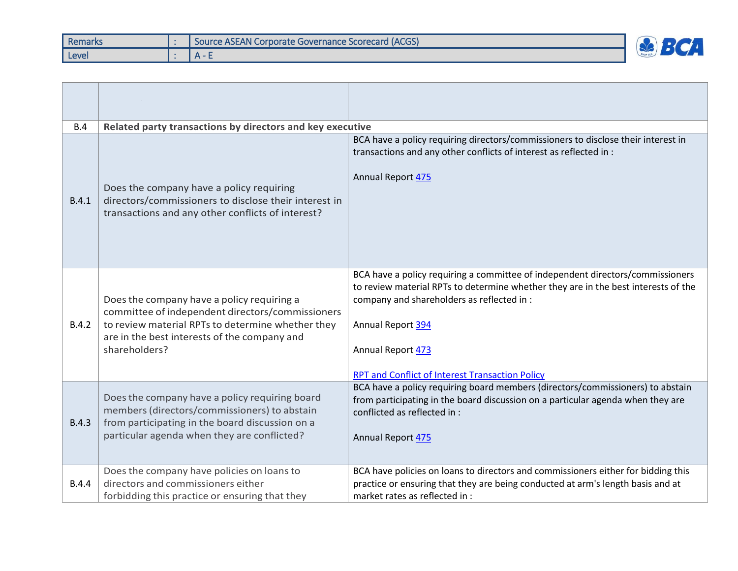| Remarks | Source ASEAN Corporate Governance Scorecard (ACGS) |  |
|---------|----------------------------------------------------|--|
| Level   |                                                    |  |

| B.4          | Related party transactions by directors and key executive                                                                                                                                                            |                                                                                                                                                                                                                                                                                                                        |  |  |  |  |
|--------------|----------------------------------------------------------------------------------------------------------------------------------------------------------------------------------------------------------------------|------------------------------------------------------------------------------------------------------------------------------------------------------------------------------------------------------------------------------------------------------------------------------------------------------------------------|--|--|--|--|
| B.4.1        | Does the company have a policy requiring<br>directors/commissioners to disclose their interest in<br>transactions and any other conflicts of interest?                                                               | BCA have a policy requiring directors/commissioners to disclose their interest in<br>transactions and any other conflicts of interest as reflected in :<br>Annual Report 475                                                                                                                                           |  |  |  |  |
| B.4.2        | Does the company have a policy requiring a<br>committee of independent directors/commissioners<br>to review material RPTs to determine whether they<br>are in the best interests of the company and<br>shareholders? | BCA have a policy requiring a committee of independent directors/commissioners<br>to review material RPTs to determine whether they are in the best interests of the<br>company and shareholders as reflected in :<br>Annual Report 394<br>Annual Report 473<br><b>RPT and Conflict of Interest Transaction Policy</b> |  |  |  |  |
| <b>B.4.3</b> | Does the company have a policy requiring board<br>members (directors/commissioners) to abstain<br>from participating in the board discussion on a<br>particular agenda when they are conflicted?                     | BCA have a policy requiring board members (directors/commissioners) to abstain<br>from participating in the board discussion on a particular agenda when they are<br>conflicted as reflected in :<br>Annual Report 475                                                                                                 |  |  |  |  |
| B.4.4        | Does the company have policies on loans to<br>directors and commissioners either<br>forbidding this practice or ensuring that they                                                                                   | BCA have policies on loans to directors and commissioners either for bidding this<br>practice or ensuring that they are being conducted at arm's length basis and at<br>market rates as reflected in :                                                                                                                 |  |  |  |  |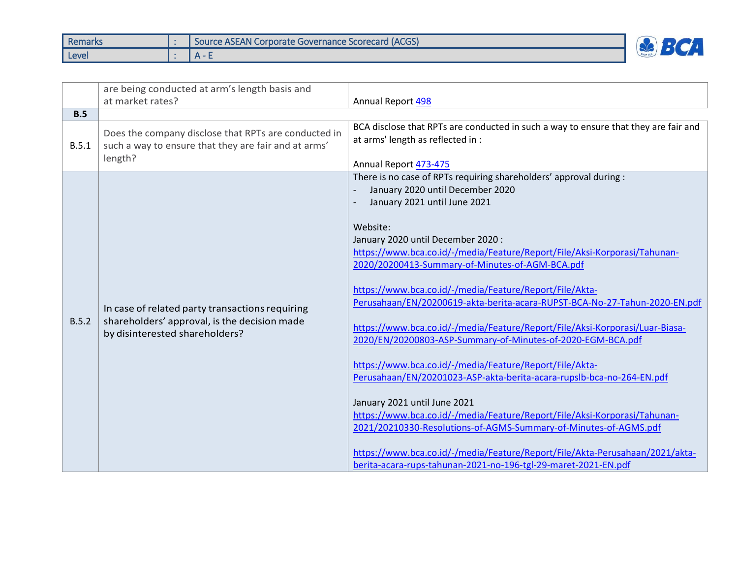| Remarks | Source ASEAN Corporate Governance Scorecard (ACGS) |   |
|---------|----------------------------------------------------|---|
| Level   |                                                    | ے |

|       | are being conducted at arm's length basis and<br>at market rates?                                                                 | Annual Report 498                                                                                                                                                                                                                                                                                                                                                                                                                                                                                                                                                                                                                                                                                                                                                                                                                                                                                                                                                                                                    |
|-------|-----------------------------------------------------------------------------------------------------------------------------------|----------------------------------------------------------------------------------------------------------------------------------------------------------------------------------------------------------------------------------------------------------------------------------------------------------------------------------------------------------------------------------------------------------------------------------------------------------------------------------------------------------------------------------------------------------------------------------------------------------------------------------------------------------------------------------------------------------------------------------------------------------------------------------------------------------------------------------------------------------------------------------------------------------------------------------------------------------------------------------------------------------------------|
| B.5   |                                                                                                                                   |                                                                                                                                                                                                                                                                                                                                                                                                                                                                                                                                                                                                                                                                                                                                                                                                                                                                                                                                                                                                                      |
| B.5.1 | Does the company disclose that RPTs are conducted in<br>such a way to ensure that they are fair and at arms'<br>length?           | BCA disclose that RPTs are conducted in such a way to ensure that they are fair and<br>at arms' length as reflected in :<br>Annual Report 473-475                                                                                                                                                                                                                                                                                                                                                                                                                                                                                                                                                                                                                                                                                                                                                                                                                                                                    |
| B.5.2 | In case of related party transactions requiring<br>shareholders' approval, is the decision made<br>by disinterested shareholders? | There is no case of RPTs requiring shareholders' approval during :<br>January 2020 until December 2020<br>January 2021 until June 2021<br>Website:<br>January 2020 until December 2020:<br>https://www.bca.co.id/-/media/Feature/Report/File/Aksi-Korporasi/Tahunan-<br>2020/20200413-Summary-of-Minutes-of-AGM-BCA.pdf<br>https://www.bca.co.id/-/media/Feature/Report/File/Akta-<br>Perusahaan/EN/20200619-akta-berita-acara-RUPST-BCA-No-27-Tahun-2020-EN.pdf<br>https://www.bca.co.id/-/media/Feature/Report/File/Aksi-Korporasi/Luar-Biasa-<br>2020/EN/20200803-ASP-Summary-of-Minutes-of-2020-EGM-BCA.pdf<br>https://www.bca.co.id/-/media/Feature/Report/File/Akta-<br>Perusahaan/EN/20201023-ASP-akta-berita-acara-rupslb-bca-no-264-EN.pdf<br>January 2021 until June 2021<br>https://www.bca.co.id/-/media/Feature/Report/File/Aksi-Korporasi/Tahunan-<br>2021/20210330-Resolutions-of-AGMS-Summary-of-Minutes-of-AGMS.pdf<br>https://www.bca.co.id/-/media/Feature/Report/File/Akta-Perusahaan/2021/akta- |
|       |                                                                                                                                   | berita-acara-rups-tahunan-2021-no-196-tgl-29-maret-2021-EN.pdf                                                                                                                                                                                                                                                                                                                                                                                                                                                                                                                                                                                                                                                                                                                                                                                                                                                                                                                                                       |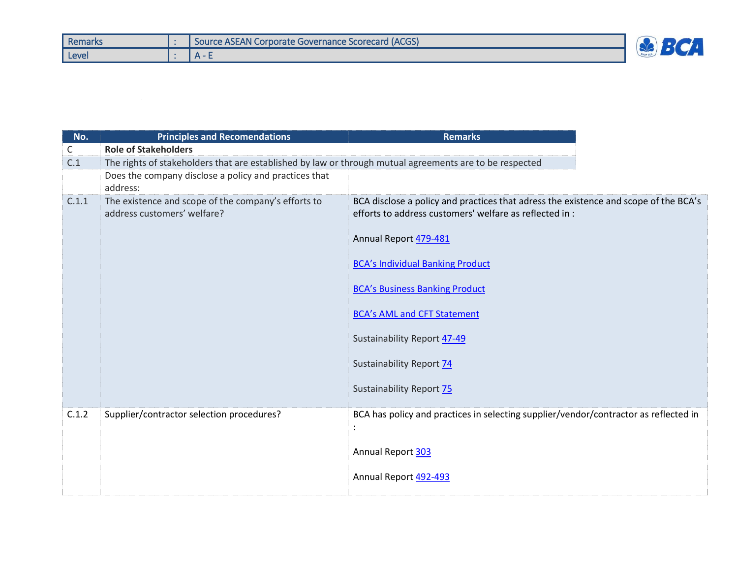| <b>Remarks</b> | <b>I Source ASEAN Corporate Governance Scorecard (ACGS)</b> |  |
|----------------|-------------------------------------------------------------|--|
| Level          |                                                             |  |

| No.          | <b>Principles and Recomendations</b>                                                                    | <b>Remarks</b>                                                                                                                                  |
|--------------|---------------------------------------------------------------------------------------------------------|-------------------------------------------------------------------------------------------------------------------------------------------------|
| $\mathsf{C}$ | <b>Role of Stakeholders</b>                                                                             |                                                                                                                                                 |
| C.1          | The rights of stakeholders that are established by law or through mutual agreements are to be respected |                                                                                                                                                 |
|              | Does the company disclose a policy and practices that<br>address:                                       |                                                                                                                                                 |
| C.1.1        | The existence and scope of the company's efforts to<br>address customers' welfare?                      | BCA disclose a policy and practices that adress the existence and scope of the BCA's<br>efforts to address customers' welfare as reflected in : |
|              |                                                                                                         | Annual Report 479-481                                                                                                                           |
|              |                                                                                                         | <b>BCA's Individual Banking Product</b>                                                                                                         |
|              |                                                                                                         | <b>BCA's Business Banking Product</b>                                                                                                           |
|              |                                                                                                         | <b>BCA's AML and CFT Statement</b>                                                                                                              |
|              |                                                                                                         | <b>Sustainability Report 47-49</b>                                                                                                              |
|              |                                                                                                         | Sustainability Report 74                                                                                                                        |
|              |                                                                                                         | <b>Sustainability Report 75</b>                                                                                                                 |
| C.1.2        | Supplier/contractor selection procedures?                                                               | BCA has policy and practices in selecting supplier/vendor/contractor as reflected in                                                            |
|              |                                                                                                         | Annual Report 303                                                                                                                               |
|              |                                                                                                         | Annual Report 492-493                                                                                                                           |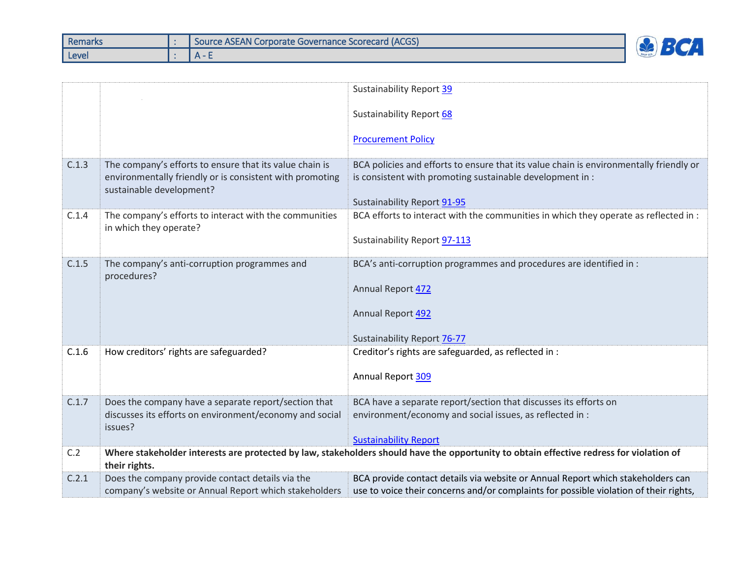| Remarks | U Source ASEAN Corporate Governance Scorecard (ACGS) |  |
|---------|------------------------------------------------------|--|
| Level   | $\mathbf{A}$                                         |  |

|       |                                                                                                                                                 | Sustainability Report 39                                                                                                                                                           |
|-------|-------------------------------------------------------------------------------------------------------------------------------------------------|------------------------------------------------------------------------------------------------------------------------------------------------------------------------------------|
|       |                                                                                                                                                 | Sustainability Report 68                                                                                                                                                           |
|       |                                                                                                                                                 | <b>Procurement Policy</b>                                                                                                                                                          |
| C.1.3 | The company's efforts to ensure that its value chain is<br>environmentally friendly or is consistent with promoting<br>sustainable development? | BCA policies and efforts to ensure that its value chain is environmentally friendly or<br>is consistent with promoting sustainable development in :<br>Sustainability Report 91-95 |
| C.1.4 | The company's efforts to interact with the communities<br>in which they operate?                                                                | BCA efforts to interact with the communities in which they operate as reflected in :<br>Sustainability Report 97-113                                                               |
| C.1.5 | The company's anti-corruption programmes and<br>procedures?                                                                                     | BCA's anti-corruption programmes and procedures are identified in :<br>Annual Report 472<br>Annual Report 492<br>Sustainability Report 76-77                                       |
| C.1.6 | How creditors' rights are safeguarded?                                                                                                          | Creditor's rights are safeguarded, as reflected in :<br>Annual Report 309                                                                                                          |
| C.1.7 | Does the company have a separate report/section that<br>discusses its efforts on environment/economy and social<br>issues?                      | BCA have a separate report/section that discusses its efforts on<br>environment/economy and social issues, as reflected in :<br><b>Sustainability Report</b>                       |
| C.2   | their rights.                                                                                                                                   | Where stakeholder interests are protected by law, stakeholders should have the opportunity to obtain effective redress for violation of                                            |
| C.2.1 | Does the company provide contact details via the<br>company's website or Annual Report which stakeholders                                       | BCA provide contact details via website or Annual Report which stakeholders can<br>use to voice their concerns and/or complaints for possible violation of their rights,           |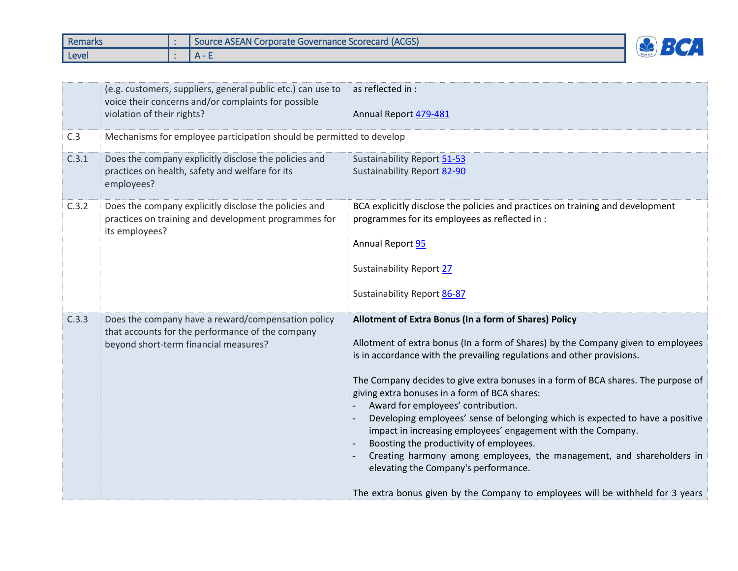| Remarks | Source ASEAN Corporate Governance Scorecard (ACGS) |  |
|---------|----------------------------------------------------|--|
| Level   |                                                    |  |

|       | (e.g. customers, suppliers, general public etc.) can use to<br>voice their concerns and/or complaints for possible<br>violation of their rights? | as reflected in :<br>Annual Report 479-481                                                                                                                                                                                                                                                                                                                                                                                                                                                                                                                                                                                                                                                                                                                                                     |
|-------|--------------------------------------------------------------------------------------------------------------------------------------------------|------------------------------------------------------------------------------------------------------------------------------------------------------------------------------------------------------------------------------------------------------------------------------------------------------------------------------------------------------------------------------------------------------------------------------------------------------------------------------------------------------------------------------------------------------------------------------------------------------------------------------------------------------------------------------------------------------------------------------------------------------------------------------------------------|
| C.3   | Mechanisms for employee participation should be permitted to develop                                                                             |                                                                                                                                                                                                                                                                                                                                                                                                                                                                                                                                                                                                                                                                                                                                                                                                |
| C.3.1 | Does the company explicitly disclose the policies and<br>practices on health, safety and welfare for its<br>employees?                           | Sustainability Report 51-53<br>Sustainability Report 82-90                                                                                                                                                                                                                                                                                                                                                                                                                                                                                                                                                                                                                                                                                                                                     |
| C.3.2 | Does the company explicitly disclose the policies and<br>practices on training and development programmes for<br>its employees?                  | BCA explicitly disclose the policies and practices on training and development<br>programmes for its employees as reflected in :<br>Annual Report 95<br><b>Sustainability Report 27</b><br>Sustainability Report 86-87                                                                                                                                                                                                                                                                                                                                                                                                                                                                                                                                                                         |
| C.3.3 | Does the company have a reward/compensation policy<br>that accounts for the performance of the company<br>beyond short-term financial measures?  | Allotment of Extra Bonus (In a form of Shares) Policy<br>Allotment of extra bonus (In a form of Shares) by the Company given to employees<br>is in accordance with the prevailing regulations and other provisions.<br>The Company decides to give extra bonuses in a form of BCA shares. The purpose of<br>giving extra bonuses in a form of BCA shares:<br>Award for employees' contribution.<br>Developing employees' sense of belonging which is expected to have a positive<br>impact in increasing employees' engagement with the Company.<br>Boosting the productivity of employees.<br>Creating harmony among employees, the management, and shareholders in<br>elevating the Company's performance.<br>The extra bonus given by the Company to employees will be withheld for 3 years |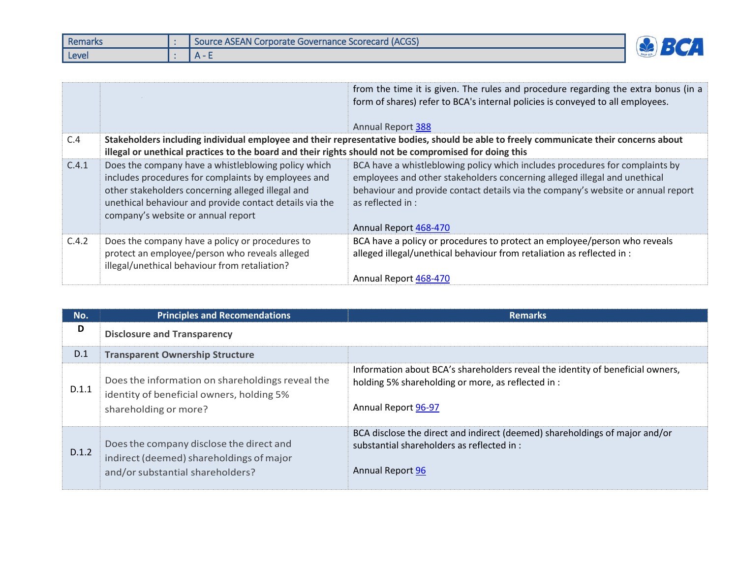| Remarks | Source ASEAN Corporate Governance Scorecard (ACGS) |  |
|---------|----------------------------------------------------|--|
| Level   |                                                    |  |

|       |                                                                                                                                                                                                                                                                  | from the time it is given. The rules and procedure regarding the extra bonus (in a<br>form of shares) refer to BCA's internal policies is conveyed to all employees.<br><b>Annual Report 388</b>                                                                                            |
|-------|------------------------------------------------------------------------------------------------------------------------------------------------------------------------------------------------------------------------------------------------------------------|---------------------------------------------------------------------------------------------------------------------------------------------------------------------------------------------------------------------------------------------------------------------------------------------|
| C.4   |                                                                                                                                                                                                                                                                  | Stakeholders including individual employee and their representative bodies, should be able to freely communicate their concerns about                                                                                                                                                       |
|       | illegal or unethical practices to the board and their rights should not be compromised for doing this                                                                                                                                                            |                                                                                                                                                                                                                                                                                             |
| C.4.1 | Does the company have a whistleblowing policy which<br>includes procedures for complaints by employees and<br>other stakeholders concerning alleged illegal and<br>unethical behaviour and provide contact details via the<br>company's website or annual report | BCA have a whistleblowing policy which includes procedures for complaints by<br>employees and other stakeholders concerning alleged illegal and unethical<br>behaviour and provide contact details via the company's website or annual report<br>as reflected in :<br>Annual Report 468-470 |
| C.4.2 | Does the company have a policy or procedures to<br>protect an employee/person who reveals alleged<br>illegal/unethical behaviour from retaliation?                                                                                                               | BCA have a policy or procedures to protect an employee/person who reveals<br>alleged illegal/unethical behaviour from retaliation as reflected in :<br>Annual Report 468-470                                                                                                                |

| No.   | <b>Principles and Recomendations</b>                                                                                     | <b>Remarks</b>                                                                                                                                              |
|-------|--------------------------------------------------------------------------------------------------------------------------|-------------------------------------------------------------------------------------------------------------------------------------------------------------|
| D     | <b>Disclosure and Transparency</b>                                                                                       |                                                                                                                                                             |
| D.1   | <b>Transparent Ownership Structure</b>                                                                                   |                                                                                                                                                             |
| D.1.1 | Does the information on shareholdings reveal the<br>identity of beneficial owners, holding 5%<br>shareholding or more?   | Information about BCA's shareholders reveal the identity of beneficial owners,<br>holding 5% shareholding or more, as reflected in :<br>Annual Report 96-97 |
| D.1.2 | Does the company disclose the direct and<br>indirect (deemed) shareholdings of major<br>and/or substantial shareholders? | BCA disclose the direct and indirect (deemed) shareholdings of major and/or<br>substantial shareholders as reflected in :<br>Annual Report 96               |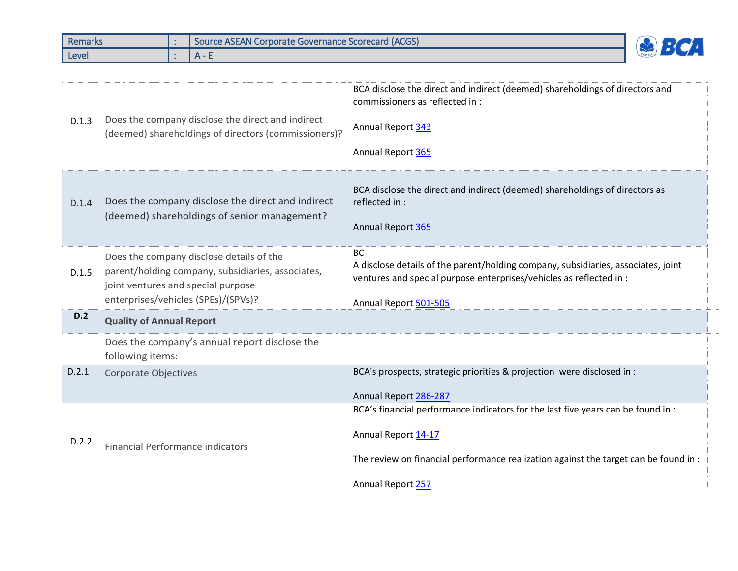| Remarks | Source ASEAN Corporate Governance Scorecard (ACGS) |  |
|---------|----------------------------------------------------|--|
| Level   | $\mathbf{u}$                                       |  |

| D.1.3 | Does the company disclose the direct and indirect<br>(deemed) shareholdings of directors (commissioners)?                                                                  | BCA disclose the direct and indirect (deemed) shareholdings of directors and<br>commissioners as reflected in :<br>Annual Report 343<br>Annual Report 365                                                            |
|-------|----------------------------------------------------------------------------------------------------------------------------------------------------------------------------|----------------------------------------------------------------------------------------------------------------------------------------------------------------------------------------------------------------------|
| D.1.4 | Does the company disclose the direct and indirect<br>(deemed) shareholdings of senior management?                                                                          | BCA disclose the direct and indirect (deemed) shareholdings of directors as<br>reflected in :<br>Annual Report 365                                                                                                   |
| D.1.5 | Does the company disclose details of the<br>parent/holding company, subsidiaries, associates,<br>joint ventures and special purpose<br>enterprises/vehicles (SPEs)/(SPVs)? | <b>BC</b><br>A disclose details of the parent/holding company, subsidiaries, associates, joint<br>ventures and special purpose enterprises/vehicles as reflected in :<br>Annual Report 501-505                       |
| D.2   | <b>Quality of Annual Report</b>                                                                                                                                            |                                                                                                                                                                                                                      |
|       | Does the company's annual report disclose the<br>following items:                                                                                                          |                                                                                                                                                                                                                      |
| D.2.1 | Corporate Objectives                                                                                                                                                       | BCA's prospects, strategic priorities & projection were disclosed in :<br>Annual Report 286-287                                                                                                                      |
| D.2.2 | <b>Financial Performance indicators</b>                                                                                                                                    | BCA's financial performance indicators for the last five years can be found in :<br>Annual Report 14-17<br>The review on financial performance realization against the target can be found in :<br>Annual Report 257 |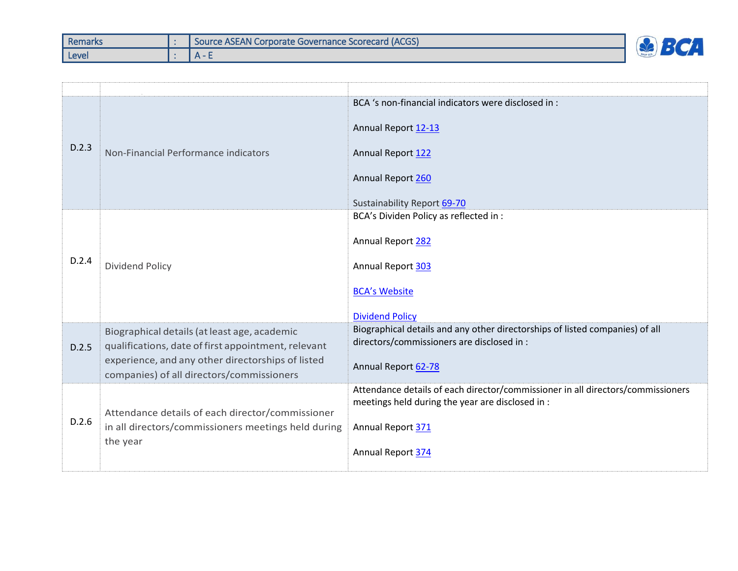| Remarks | <b>I Source ASEAN Corporate Governance Scorecard (ACGS)</b> |  |
|---------|-------------------------------------------------------------|--|
| Level   | $\mathbf{a}$ $\mathbf{a}$                                   |  |

| D.2.3 | Non-Financial Performance indicators                                                                                                                                                                  | BCA 's non-financial indicators were disclosed in:<br>Annual Report 12-13<br>Annual Report 122<br>Annual Report 260<br>Sustainability Report 69-70                            |
|-------|-------------------------------------------------------------------------------------------------------------------------------------------------------------------------------------------------------|-------------------------------------------------------------------------------------------------------------------------------------------------------------------------------|
| D.2.4 | <b>Dividend Policy</b>                                                                                                                                                                                | BCA's Dividen Policy as reflected in :<br>Annual Report 282<br>Annual Report 303<br><b>BCA's Website</b><br><b>Dividend Policy</b>                                            |
| D.2.5 | Biographical details (at least age, academic<br>qualifications, date of first appointment, relevant<br>experience, and any other directorships of listed<br>companies) of all directors/commissioners | Biographical details and any other directorships of listed companies) of all<br>directors/commissioners are disclosed in :<br>Annual Report 62-78                             |
| D.2.6 | Attendance details of each director/commissioner<br>in all directors/commissioners meetings held during<br>the year                                                                                   | Attendance details of each director/commissioner in all directors/commissioners<br>meetings held during the year are disclosed in :<br>Annual Report 371<br>Annual Report 374 |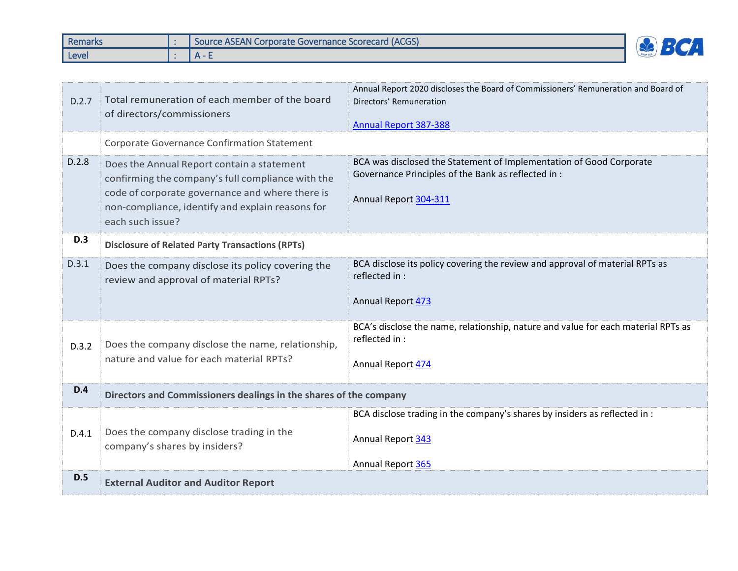| <b>Remarks</b> | Source ASEAN Corporate Governance Scorecard (ACGS) |   |
|----------------|----------------------------------------------------|---|
| Level          | . A -                                              | 一 |

| D.2.7      | Total remuneration of each member of the board<br>of directors/commissioners                                                                                                                                               | Annual Report 2020 discloses the Board of Commissioners' Remuneration and Board of<br>Directors' Remuneration<br><b>Annual Report 387-388</b>       |
|------------|----------------------------------------------------------------------------------------------------------------------------------------------------------------------------------------------------------------------------|-----------------------------------------------------------------------------------------------------------------------------------------------------|
|            | Corporate Governance Confirmation Statement                                                                                                                                                                                |                                                                                                                                                     |
| D.2.8      | Does the Annual Report contain a statement<br>confirming the company's full compliance with the<br>code of corporate governance and where there is<br>non-compliance, identify and explain reasons for<br>each such issue? | BCA was disclosed the Statement of Implementation of Good Corporate<br>Governance Principles of the Bank as reflected in :<br>Annual Report 304-311 |
| <b>D.3</b> | <b>Disclosure of Related Party Transactions (RPTs)</b>                                                                                                                                                                     |                                                                                                                                                     |
| D.3.1      | Does the company disclose its policy covering the<br>review and approval of material RPTs?                                                                                                                                 | BCA disclose its policy covering the review and approval of material RPTs as<br>reflected in :<br>Annual Report 473                                 |
| D.3.2      | Does the company disclose the name, relationship,<br>nature and value for each material RPTs?                                                                                                                              | BCA's disclose the name, relationship, nature and value for each material RPTs as<br>reflected in :<br>Annual Report 474                            |
| <b>D.4</b> | Directors and Commissioners dealings in the shares of the company                                                                                                                                                          |                                                                                                                                                     |
| D.4.1      | Does the company disclose trading in the<br>company's shares by insiders?                                                                                                                                                  | BCA disclose trading in the company's shares by insiders as reflected in :<br>Annual Report 343<br>Annual Report 365                                |
| D.5        | <b>External Auditor and Auditor Report</b>                                                                                                                                                                                 |                                                                                                                                                     |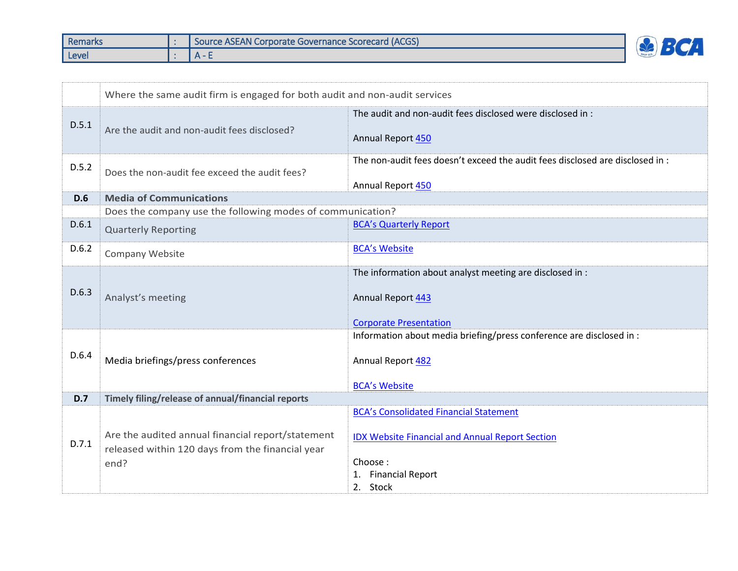| Remarks | Source ASEAN Corporate Governance Scorecard (ACGS) |  |
|---------|----------------------------------------------------|--|
| Level   |                                                    |  |

|            | Where the same audit firm is engaged for both audit and non-audit services                                    |                                                                                                                                                           |  |
|------------|---------------------------------------------------------------------------------------------------------------|-----------------------------------------------------------------------------------------------------------------------------------------------------------|--|
| D.5.1      | Are the audit and non-audit fees disclosed?                                                                   | The audit and non-audit fees disclosed were disclosed in :<br>Annual Report 450                                                                           |  |
| D.5.2      | Does the non-audit fee exceed the audit fees?                                                                 | The non-audit fees doesn't exceed the audit fees disclosed are disclosed in :<br>Annual Report 450                                                        |  |
| <b>D.6</b> | <b>Media of Communications</b>                                                                                |                                                                                                                                                           |  |
|            | Does the company use the following modes of communication?                                                    |                                                                                                                                                           |  |
| D.6.1      | <b>Quarterly Reporting</b>                                                                                    | <b>BCA's Quarterly Report</b>                                                                                                                             |  |
| D.6.2      | Company Website                                                                                               | <b>BCA's Website</b>                                                                                                                                      |  |
| D.6.3      | Analyst's meeting                                                                                             | The information about analyst meeting are disclosed in :<br>Annual Report 443<br><b>Corporate Presentation</b>                                            |  |
| D.6.4      | Media briefings/press conferences                                                                             | Information about media briefing/press conference are disclosed in :<br>Annual Report 482<br><b>BCA's Website</b>                                         |  |
| D.7        | Timely filing/release of annual/financial reports                                                             |                                                                                                                                                           |  |
| D.7.1      | Are the audited annual financial report/statement<br>released within 120 days from the financial year<br>end? | <b>BCA's Consolidated Financial Statement</b><br><b>IDX Website Financial and Annual Report Section</b><br>Choose:<br><b>Financial Report</b><br>2. Stock |  |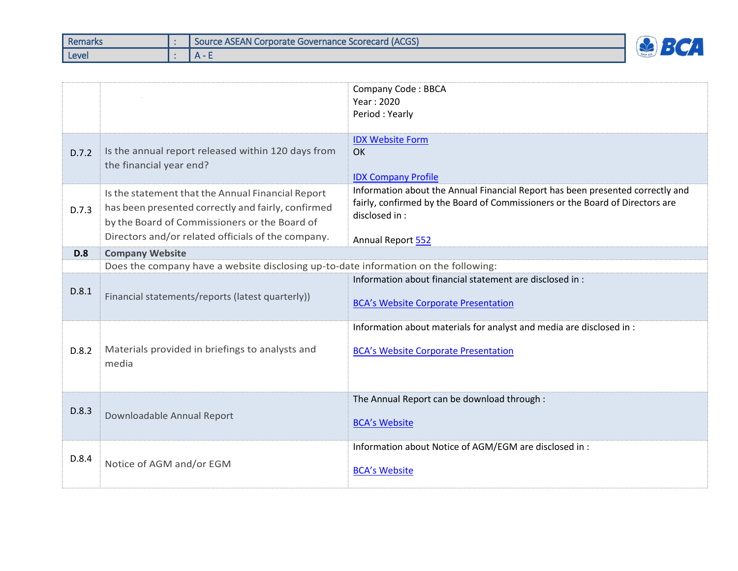| <b>Remarks</b> | Source ASEAN Corporate Governance Scorecard (ACGS) |  |
|----------------|----------------------------------------------------|--|
| Level          |                                                    |  |

|            |                                                                                                                                                                                                                | <b>Company Code: BBCA</b><br>Year: 2020<br>Period: Yearly                                                                                                                                             |  |  |  |  |
|------------|----------------------------------------------------------------------------------------------------------------------------------------------------------------------------------------------------------------|-------------------------------------------------------------------------------------------------------------------------------------------------------------------------------------------------------|--|--|--|--|
| D.7.2      | Is the annual report released within 120 days from<br>the financial year end?                                                                                                                                  | <b>IDX Website Form</b><br><b>OK</b><br><b>IDX Company Profile</b>                                                                                                                                    |  |  |  |  |
| D.7.3      | Is the statement that the Annual Financial Report<br>has been presented correctly and fairly, confirmed<br>by the Board of Commissioners or the Board of<br>Directors and/or related officials of the company. | Information about the Annual Financial Report has been presented correctly and<br>fairly, confirmed by the Board of Commissioners or the Board of Directors are<br>disclosed in:<br>Annual Report 552 |  |  |  |  |
| <b>D.8</b> | <b>Company Website</b>                                                                                                                                                                                         |                                                                                                                                                                                                       |  |  |  |  |
|            | Does the company have a website disclosing up-to-date information on the following:                                                                                                                            |                                                                                                                                                                                                       |  |  |  |  |
| D.8.1      | Financial statements/reports (latest quarterly))                                                                                                                                                               | Information about financial statement are disclosed in:<br><b>BCA's Website Corporate Presentation</b>                                                                                                |  |  |  |  |
| D.8.2      | Materials provided in briefings to analysts and<br>media                                                                                                                                                       | Information about materials for analyst and media are disclosed in :<br><b>BCA's Website Corporate Presentation</b>                                                                                   |  |  |  |  |
| D.8.3      | Downloadable Annual Report                                                                                                                                                                                     | The Annual Report can be download through :<br><b>BCA's Website</b>                                                                                                                                   |  |  |  |  |
| D.8.4      | Notice of AGM and/or EGM                                                                                                                                                                                       | Information about Notice of AGM/EGM are disclosed in :<br><b>BCA's Website</b>                                                                                                                        |  |  |  |  |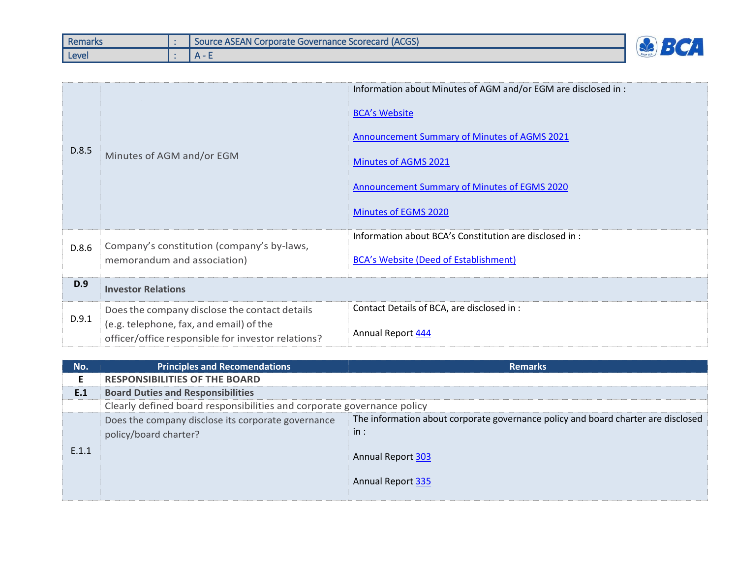| Remarks | <b>I Source ASEAN Corporate Governance Scorecard (ACGS)</b> |                          |
|---------|-------------------------------------------------------------|--------------------------|
| Level   | $\Delta$ -                                                  | $\overline{\phantom{0}}$ |

| D.8.5 | Minutes of AGM and/or EGM                                                                                                                      | Information about Minutes of AGM and/or EGM are disclosed in :<br><b>BCA's Website</b><br><b>Announcement Summary of Minutes of AGMS 2021</b><br><b>Minutes of AGMS 2021</b><br>Announcement Summary of Minutes of EGMS 2020<br><b>Minutes of EGMS 2020</b> |
|-------|------------------------------------------------------------------------------------------------------------------------------------------------|-------------------------------------------------------------------------------------------------------------------------------------------------------------------------------------------------------------------------------------------------------------|
| D.8.6 | Company's constitution (company's by-laws,<br>memorandum and association)                                                                      | Information about BCA's Constitution are disclosed in :<br><b>BCA's Website (Deed of Establishment)</b>                                                                                                                                                     |
| D.9   | <b>Investor Relations</b>                                                                                                                      |                                                                                                                                                                                                                                                             |
| D.9.1 | Does the company disclose the contact details<br>(e.g. telephone, fax, and email) of the<br>officer/office responsible for investor relations? | Contact Details of BCA, are disclosed in :<br>Annual Report 444                                                                                                                                                                                             |

| No.   | <b>Principles and Recomendations</b>                                        | <b>Remarks</b>                                                                                                                            |
|-------|-----------------------------------------------------------------------------|-------------------------------------------------------------------------------------------------------------------------------------------|
|       | <b>RESPONSIBILITIES OF THE BOARD</b>                                        |                                                                                                                                           |
| E.1   | <b>Board Duties and Responsibilities</b>                                    |                                                                                                                                           |
|       | Clearly defined board responsibilities and corporate governance policy      |                                                                                                                                           |
| E.1.1 | Does the company disclose its corporate governance<br>policy/board charter? | The information about corporate governance policy and board charter are disclosed<br>in:<br><b>Annual Report 303</b><br>Annual Report 335 |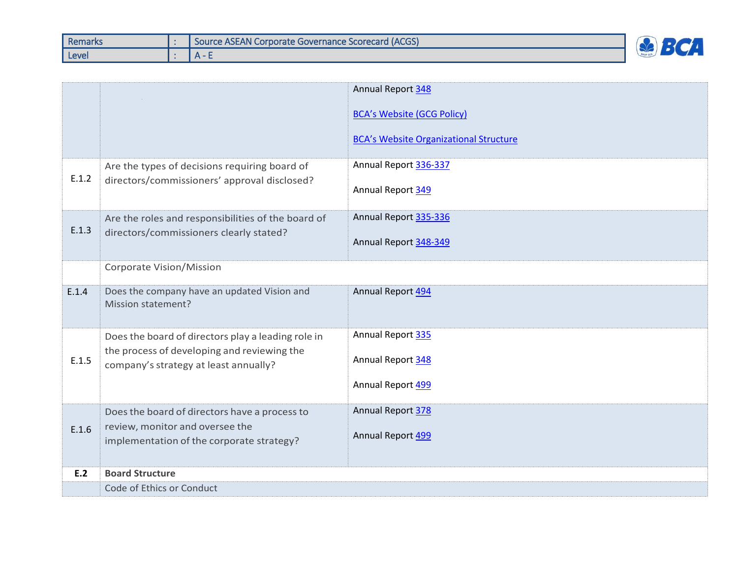| <b>Remarks</b> | <b>I Source ASEAN Corporate Governance Scorecard (ACGS)</b> |  |
|----------------|-------------------------------------------------------------|--|
| Level          | $\Delta$ -                                                  |  |

|       |                                                                                      | <b>Annual Report 348</b>                      |  |  |  |
|-------|--------------------------------------------------------------------------------------|-----------------------------------------------|--|--|--|
|       |                                                                                      | <b>BCA's Website (GCG Policy)</b>             |  |  |  |
|       |                                                                                      | <b>BCA's Website Organizational Structure</b> |  |  |  |
| E.1.2 | Are the types of decisions requiring board of                                        | Annual Report 336-337                         |  |  |  |
|       | directors/commissioners' approval disclosed?                                         | Annual Report 349                             |  |  |  |
|       | Are the roles and responsibilities of the board of                                   | Annual Report 335-336                         |  |  |  |
| E.1.3 | directors/commissioners clearly stated?                                              | Annual Report 348-349                         |  |  |  |
|       | Corporate Vision/Mission                                                             |                                               |  |  |  |
| E.1.4 | Does the company have an updated Vision and<br>Mission statement?                    | Annual Report 494                             |  |  |  |
|       |                                                                                      |                                               |  |  |  |
|       | Does the board of directors play a leading role in                                   | Annual Report 335                             |  |  |  |
| E.1.5 | the process of developing and reviewing the<br>company's strategy at least annually? | Annual Report 348                             |  |  |  |
|       |                                                                                      | Annual Report 499                             |  |  |  |
|       | Does the board of directors have a process to                                        | Annual Report 378                             |  |  |  |
| E.1.6 | review, monitor and oversee the<br>implementation of the corporate strategy?         | Annual Report 499                             |  |  |  |
|       |                                                                                      |                                               |  |  |  |
| E.2   | <b>Board Structure</b>                                                               |                                               |  |  |  |
|       | Code of Ethics or Conduct                                                            |                                               |  |  |  |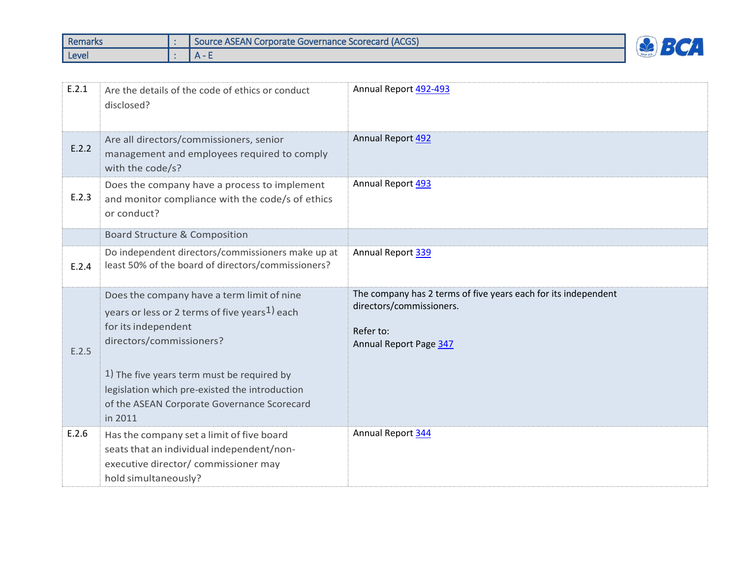| <b>Remarks</b> | <b>I Source ASEAN Corporate Governance Scorecard (ACGS)</b> | <b>TEAM</b> |
|----------------|-------------------------------------------------------------|-------------|
| Level          |                                                             |             |

| E.2.1 | Are the details of the code of ethics or conduct<br>disclosed?                                                                                                                                                                                                                                                        | Annual Report 492-493                                                                                                                    |
|-------|-----------------------------------------------------------------------------------------------------------------------------------------------------------------------------------------------------------------------------------------------------------------------------------------------------------------------|------------------------------------------------------------------------------------------------------------------------------------------|
| E.2.2 | Are all directors/commissioners, senior<br>management and employees required to comply<br>with the code/s?                                                                                                                                                                                                            | Annual Report 492                                                                                                                        |
| E.2.3 | Does the company have a process to implement<br>and monitor compliance with the code/s of ethics<br>or conduct?                                                                                                                                                                                                       | Annual Report 493                                                                                                                        |
|       | <b>Board Structure &amp; Composition</b>                                                                                                                                                                                                                                                                              |                                                                                                                                          |
| E.2.4 | Do independent directors/commissioners make up at<br>least 50% of the board of directors/commissioners?                                                                                                                                                                                                               | Annual Report 339                                                                                                                        |
| E.2.5 | Does the company have a term limit of nine<br>years or less or 2 terms of five years <sup>1</sup> ) each<br>for its independent<br>directors/commissioners?<br>1) The five years term must be required by<br>legislation which pre-existed the introduction<br>of the ASEAN Corporate Governance Scorecard<br>in 2011 | The company has 2 terms of five years each for its independent<br>directors/commissioners.<br>Refer to:<br><b>Annual Report Page 347</b> |
| E.2.6 | Has the company set a limit of five board<br>seats that an individual independent/non-<br>executive director/ commissioner may<br>hold simultaneously?                                                                                                                                                                | Annual Report 344                                                                                                                        |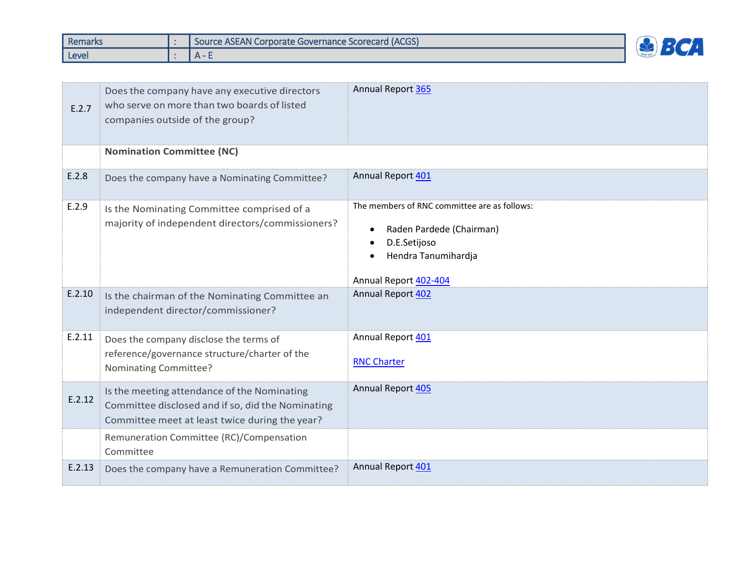| Remarks | Source ASEAN Corporate Governance Scorecard (ACGS) |  |
|---------|----------------------------------------------------|--|
| Level   | $\Delta$ -                                         |  |

| E.2.7  | Does the company have any executive directors<br>who serve on more than two boards of listed<br>companies outside of the group?                    | Annual Report 365                                                                                                                        |
|--------|----------------------------------------------------------------------------------------------------------------------------------------------------|------------------------------------------------------------------------------------------------------------------------------------------|
|        | <b>Nomination Committee (NC)</b>                                                                                                                   |                                                                                                                                          |
| E.2.8  | Does the company have a Nominating Committee?                                                                                                      | Annual Report 401                                                                                                                        |
| E.2.9  | Is the Nominating Committee comprised of a<br>majority of independent directors/commissioners?                                                     | The members of RNC committee are as follows:<br>Raden Pardede (Chairman)<br>D.E.Setijoso<br>Hendra Tanumihardja<br>Annual Report 402-404 |
| E.2.10 | Is the chairman of the Nominating Committee an<br>independent director/commissioner?                                                               | <b>Annual Report 402</b>                                                                                                                 |
| E.2.11 | Does the company disclose the terms of<br>reference/governance structure/charter of the<br>Nominating Committee?                                   | Annual Report 401<br><b>RNC Charter</b>                                                                                                  |
| E.2.12 | Is the meeting attendance of the Nominating<br>Committee disclosed and if so, did the Nominating<br>Committee meet at least twice during the year? | Annual Report 405                                                                                                                        |
|        | Remuneration Committee (RC)/Compensation<br>Committee                                                                                              |                                                                                                                                          |
| E.2.13 | Does the company have a Remuneration Committee?                                                                                                    | Annual Report 401                                                                                                                        |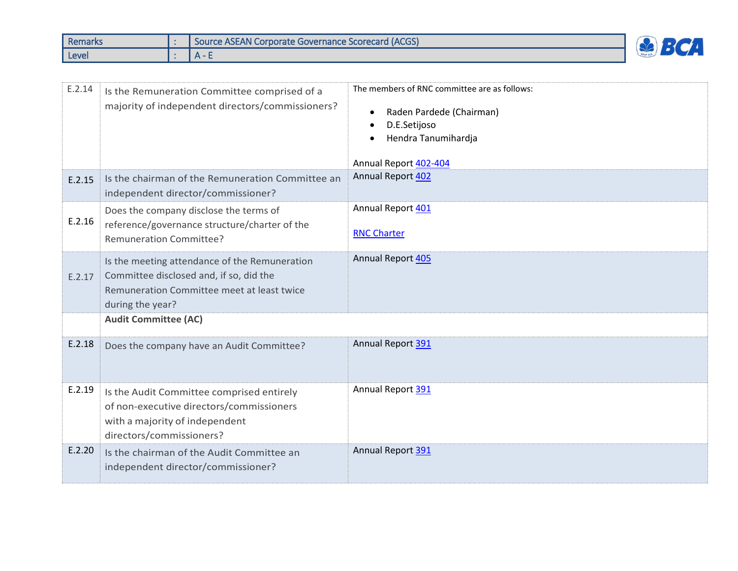| <b>Remarks</b> | <b>I Source ASEAN Corporate Governance Scorecard (ACGS)</b> |  |
|----------------|-------------------------------------------------------------|--|
| Level          | $\Delta$ -                                                  |  |

| E.2.14 | Is the Remuneration Committee comprised of a<br>majority of independent directors/commissioners?                                                           | The members of RNC committee are as follows:<br>Raden Pardede (Chairman)<br>D.E.Setijoso<br>$\bullet$<br>Hendra Tanumihardja<br>Annual Report 402-404 |
|--------|------------------------------------------------------------------------------------------------------------------------------------------------------------|-------------------------------------------------------------------------------------------------------------------------------------------------------|
| E.2.15 | Is the chairman of the Remuneration Committee an<br>independent director/commissioner?                                                                     | Annual Report 402                                                                                                                                     |
| E.2.16 | Does the company disclose the terms of<br>reference/governance structure/charter of the<br><b>Remuneration Committee?</b>                                  | Annual Report 401<br><b>RNC Charter</b>                                                                                                               |
| E.2.17 | Is the meeting attendance of the Remuneration<br>Committee disclosed and, if so, did the<br>Remuneration Committee meet at least twice<br>during the year? | Annual Report 405                                                                                                                                     |
|        | <b>Audit Committee (AC)</b>                                                                                                                                |                                                                                                                                                       |
| E.2.18 | Does the company have an Audit Committee?                                                                                                                  | Annual Report 391                                                                                                                                     |
| E.2.19 | Is the Audit Committee comprised entirely<br>of non-executive directors/commissioners<br>with a majority of independent<br>directors/commissioners?        | Annual Report 391                                                                                                                                     |
| E.2.20 | Is the chairman of the Audit Committee an<br>independent director/commissioner?                                                                            | Annual Report 391                                                                                                                                     |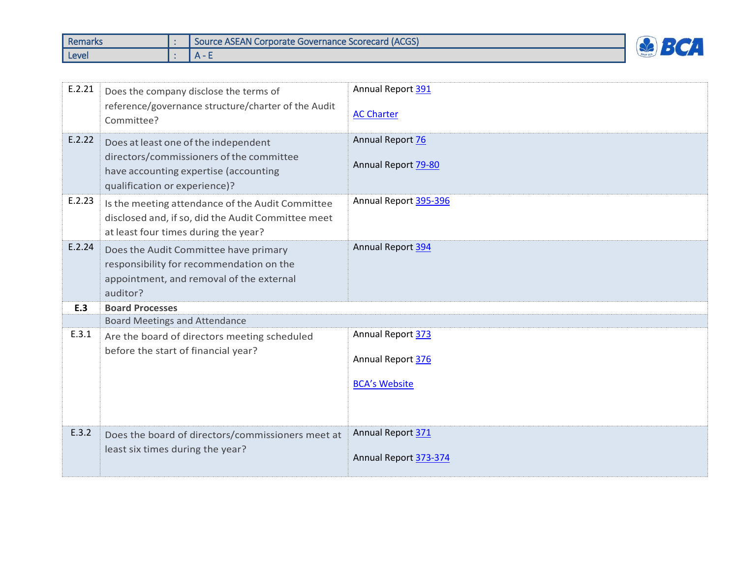| Remarks | <b>I Source ASEAN Corporate Governance Scorecard (ACGS)</b> | $\mathbf{r}$ |
|---------|-------------------------------------------------------------|--------------|
| Level   | $\Delta$ -                                                  | GRUP BL      |

| E.2.21 | Does the company disclose the terms of                                                                                                         | Annual Report 391       |
|--------|------------------------------------------------------------------------------------------------------------------------------------------------|-------------------------|
|        | reference/governance structure/charter of the Audit<br>Committee?                                                                              | <b>AC Charter</b>       |
| E.2.22 | Does at least one of the independent                                                                                                           | <b>Annual Report 76</b> |
|        | directors/commissioners of the committee<br>have accounting expertise (accounting<br>qualification or experience)?                             | Annual Report 79-80     |
| E.2.23 | Is the meeting attendance of the Audit Committee<br>disclosed and, if so, did the Audit Committee meet<br>at least four times during the year? | Annual Report 395-396   |
| E.2.24 | Does the Audit Committee have primary<br>responsibility for recommendation on the<br>appointment, and removal of the external<br>auditor?      | Annual Report 394       |
| E.3    | <b>Board Processes</b>                                                                                                                         |                         |
|        | <b>Board Meetings and Attendance</b>                                                                                                           |                         |
| E.3.1  | Are the board of directors meeting scheduled                                                                                                   | Annual Report 373       |
|        | before the start of financial year?                                                                                                            | Annual Report 376       |
|        |                                                                                                                                                | <b>BCA's Website</b>    |
| E.3.2  |                                                                                                                                                | Annual Report 371       |
|        | Does the board of directors/commissioners meet at                                                                                              |                         |
|        | least six times during the year?                                                                                                               | Annual Report 373-374   |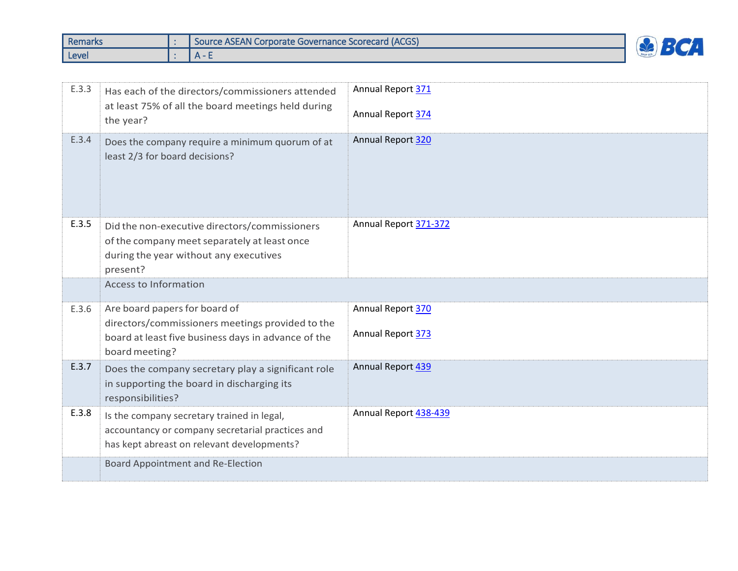| <b>Remarks</b> | Source ASEAN Corporate Governance Scorecard (ACGS) | $\overline{1}$ |
|----------------|----------------------------------------------------|----------------|
| Level          | $\Delta$ -                                         | GRUP BL        |

| E.3.3 | Has each of the directors/commissioners attended<br>at least 75% of all the board meetings held during<br>the year?                                        | Annual Report 371<br>Annual Report 374 |
|-------|------------------------------------------------------------------------------------------------------------------------------------------------------------|----------------------------------------|
| E.3.4 | Does the company require a minimum quorum of at<br>least 2/3 for board decisions?                                                                          | Annual Report 320                      |
| E.3.5 | Did the non-executive directors/commissioners<br>of the company meet separately at least once<br>during the year without any executives<br>present?        | Annual Report 371-372                  |
|       | <b>Access to Information</b>                                                                                                                               |                                        |
| E.3.6 | Are board papers for board of<br>directors/commissioners meetings provided to the<br>board at least five business days in advance of the<br>board meeting? | Annual Report 370<br>Annual Report 373 |
| E.3.7 | Does the company secretary play a significant role<br>in supporting the board in discharging its<br>responsibilities?                                      | Annual Report 439                      |
| E.3.8 | Is the company secretary trained in legal,<br>accountancy or company secretarial practices and<br>has kept abreast on relevant developments?               | Annual Report 438-439                  |
|       | Board Appointment and Re-Election                                                                                                                          |                                        |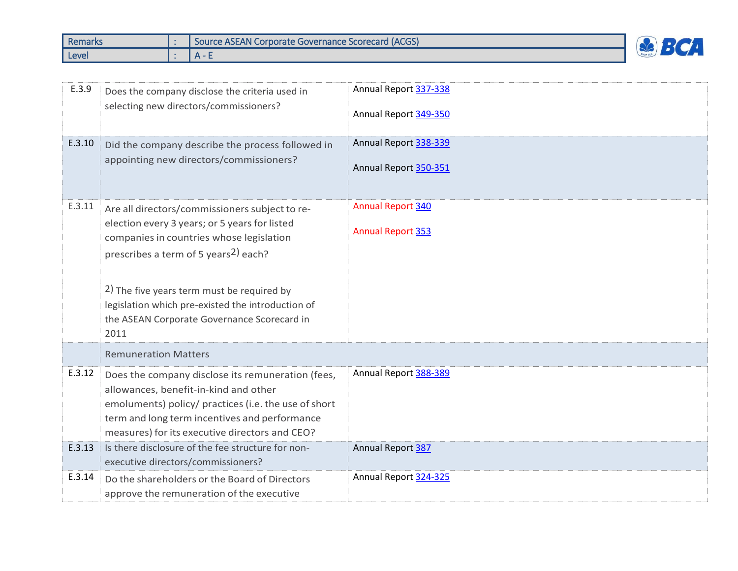| <b>Remarks</b> | <b>I Source ASEAN Corporate Governance Scorecard (ACGS)</b> |  |
|----------------|-------------------------------------------------------------|--|
| Level          | $\Delta$ -                                                  |  |

| E.3.9<br>E.3.10 | Does the company disclose the criteria used in<br>selecting new directors/commissioners?<br>Did the company describe the process followed in<br>appointing new directors/commissioners?                                                                                                                                                                    | Annual Report 337-338<br>Annual Report 349-350<br>Annual Report 338-339<br>Annual Report 350-351 |
|-----------------|------------------------------------------------------------------------------------------------------------------------------------------------------------------------------------------------------------------------------------------------------------------------------------------------------------------------------------------------------------|--------------------------------------------------------------------------------------------------|
| E.3.11          | Are all directors/commissioners subject to re-<br>election every 3 years; or 5 years for listed<br>companies in countries whose legislation<br>prescribes a term of 5 years <sup>2</sup> ) each?<br>2) The five years term must be required by<br>legislation which pre-existed the introduction of<br>the ASEAN Corporate Governance Scorecard in<br>2011 | Annual Report 340<br><b>Annual Report 353</b>                                                    |
|                 | <b>Remuneration Matters</b>                                                                                                                                                                                                                                                                                                                                |                                                                                                  |
| E.3.12          | Does the company disclose its remuneration (fees,<br>allowances, benefit-in-kind and other<br>emoluments) policy/ practices (i.e. the use of short<br>term and long term incentives and performance<br>measures) for its executive directors and CEO?                                                                                                      | Annual Report 388-389                                                                            |
| E.3.13          | Is there disclosure of the fee structure for non-<br>executive directors/commissioners?                                                                                                                                                                                                                                                                    | Annual Report 387                                                                                |
| E.3.14          | Do the shareholders or the Board of Directors<br>approve the remuneration of the executive                                                                                                                                                                                                                                                                 | Annual Report 324-325                                                                            |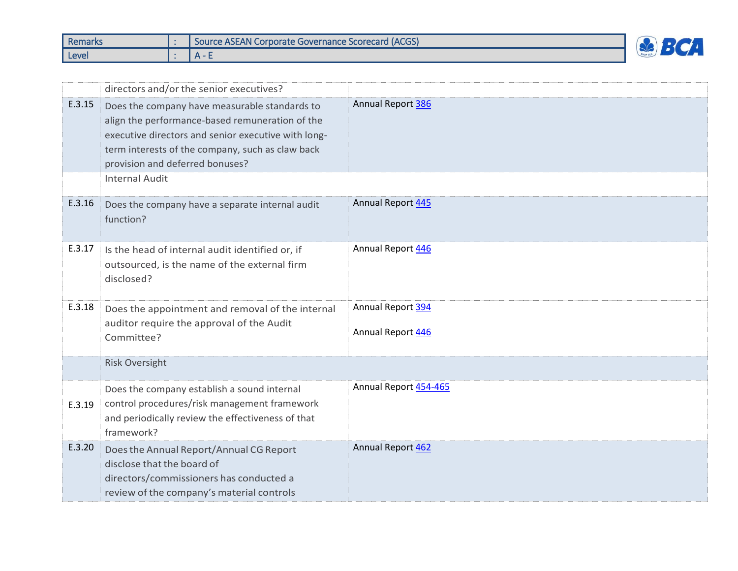| <b>Remarks</b> | Source ASEAN Corporate Governance Scorecard (ACGS) |  |
|----------------|----------------------------------------------------|--|
| Level          |                                                    |  |

|        | directors and/or the senior executives?                                                                                                                                                                                                        |                                        |
|--------|------------------------------------------------------------------------------------------------------------------------------------------------------------------------------------------------------------------------------------------------|----------------------------------------|
| E.3.15 | Does the company have measurable standards to<br>align the performance-based remuneration of the<br>executive directors and senior executive with long-<br>term interests of the company, such as claw back<br>provision and deferred bonuses? | Annual Report 386                      |
|        | <b>Internal Audit</b>                                                                                                                                                                                                                          |                                        |
| E.3.16 | Does the company have a separate internal audit<br>function?                                                                                                                                                                                   | Annual Report 445                      |
| E.3.17 | Is the head of internal audit identified or, if<br>outsourced, is the name of the external firm<br>disclosed?                                                                                                                                  | Annual Report 446                      |
| E.3.18 | Does the appointment and removal of the internal<br>auditor require the approval of the Audit<br>Committee?                                                                                                                                    | Annual Report 394<br>Annual Report 446 |
|        | <b>Risk Oversight</b>                                                                                                                                                                                                                          |                                        |
| E.3.19 | Does the company establish a sound internal<br>control procedures/risk management framework<br>and periodically review the effectiveness of that<br>framework?                                                                                 | Annual Report 454-465                  |
| E.3.20 | Does the Annual Report/Annual CG Report<br>disclose that the board of<br>directors/commissioners has conducted a<br>review of the company's material controls                                                                                  | Annual Report 462                      |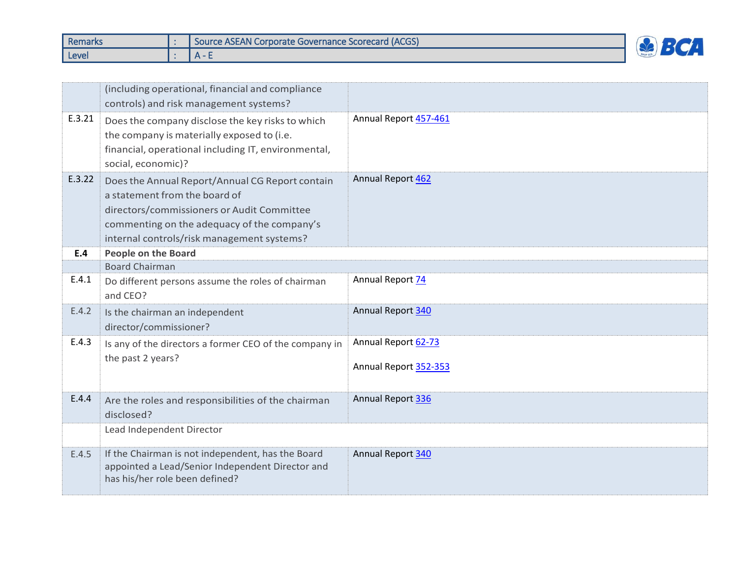| Remarks | Source ASEAN Corporate Governance Scorecard (ACGS) |        |
|---------|----------------------------------------------------|--------|
| Level   | $\mathbf{v}$                                       | $\sim$ |

|        | (including operational, financial and compliance<br>controls) and risk management systems?                                                                                                                                  |                                              |
|--------|-----------------------------------------------------------------------------------------------------------------------------------------------------------------------------------------------------------------------------|----------------------------------------------|
| E.3.21 | Does the company disclose the key risks to which<br>the company is materially exposed to (i.e.<br>financial, operational including IT, environmental,<br>social, economic)?                                                 | Annual Report 457-461                        |
| E.3.22 | Does the Annual Report/Annual CG Report contain<br>a statement from the board of<br>directors/commissioners or Audit Committee<br>commenting on the adequacy of the company's<br>internal controls/risk management systems? | Annual Report 462                            |
| E.4    | <b>People on the Board</b>                                                                                                                                                                                                  |                                              |
| E.4.1  | <b>Board Chairman</b><br>Do different persons assume the roles of chairman<br>and CEO?                                                                                                                                      | Annual Report 74                             |
| E.4.2  | Is the chairman an independent<br>director/commissioner?                                                                                                                                                                    | Annual Report 340                            |
| E.4.3  | Is any of the directors a former CEO of the company in<br>the past 2 years?                                                                                                                                                 | Annual Report 62-73<br>Annual Report 352-353 |
| E.4.4  | Are the roles and responsibilities of the chairman<br>disclosed?                                                                                                                                                            | Annual Report 336                            |
|        | Lead Independent Director                                                                                                                                                                                                   |                                              |
| E.4.5  | If the Chairman is not independent, has the Board<br>appointed a Lead/Senior Independent Director and<br>has his/her role been defined?                                                                                     | Annual Report 340                            |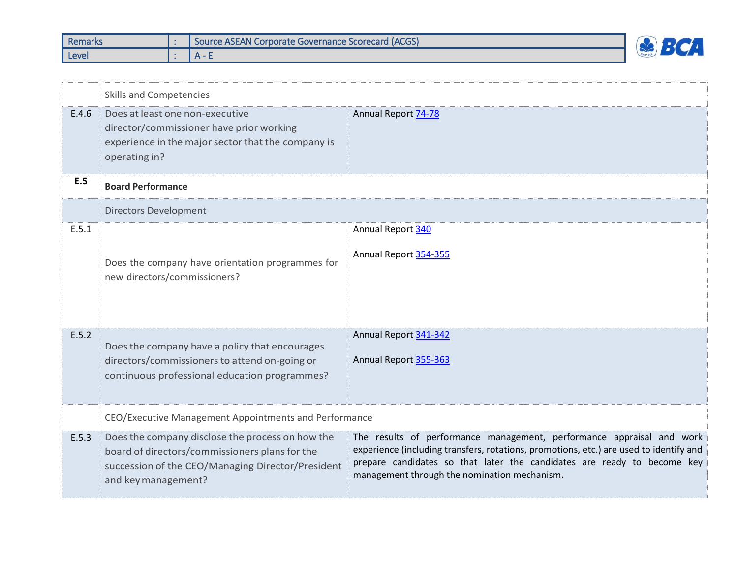| <b>Remarks</b> | Source ASEAN Corporate Governance Scorecard (ACGS) |     |
|----------------|----------------------------------------------------|-----|
| Level          |                                                    | - - |

|       | <b>Skills and Competencies</b>                                                                                                                                                 |                                                                                                                                                                                                                                                                                            |  |  |
|-------|--------------------------------------------------------------------------------------------------------------------------------------------------------------------------------|--------------------------------------------------------------------------------------------------------------------------------------------------------------------------------------------------------------------------------------------------------------------------------------------|--|--|
| E.4.6 | Does at least one non-executive<br>director/commissioner have prior working<br>experience in the major sector that the company is<br>operating in?                             | <b>Annual Report 74-78</b>                                                                                                                                                                                                                                                                 |  |  |
| E.5   | <b>Board Performance</b>                                                                                                                                                       |                                                                                                                                                                                                                                                                                            |  |  |
|       | <b>Directors Development</b>                                                                                                                                                   |                                                                                                                                                                                                                                                                                            |  |  |
| E.5.1 |                                                                                                                                                                                | Annual Report 340                                                                                                                                                                                                                                                                          |  |  |
|       | Does the company have orientation programmes for<br>new directors/commissioners?                                                                                               | Annual Report 354-355                                                                                                                                                                                                                                                                      |  |  |
| E.5.2 | Does the company have a policy that encourages                                                                                                                                 | Annual Report 341-342                                                                                                                                                                                                                                                                      |  |  |
|       | directors/commissioners to attend on-going or<br>continuous professional education programmes?                                                                                 | Annual Report 355-363                                                                                                                                                                                                                                                                      |  |  |
|       | CEO/Executive Management Appointments and Performance                                                                                                                          |                                                                                                                                                                                                                                                                                            |  |  |
| E.5.3 | Does the company disclose the process on how the<br>board of directors/commissioners plans for the<br>succession of the CEO/Managing Director/President<br>and key management? | The results of performance management, performance appraisal and work<br>experience (including transfers, rotations, promotions, etc.) are used to identify and<br>prepare candidates so that later the candidates are ready to become key<br>management through the nomination mechanism. |  |  |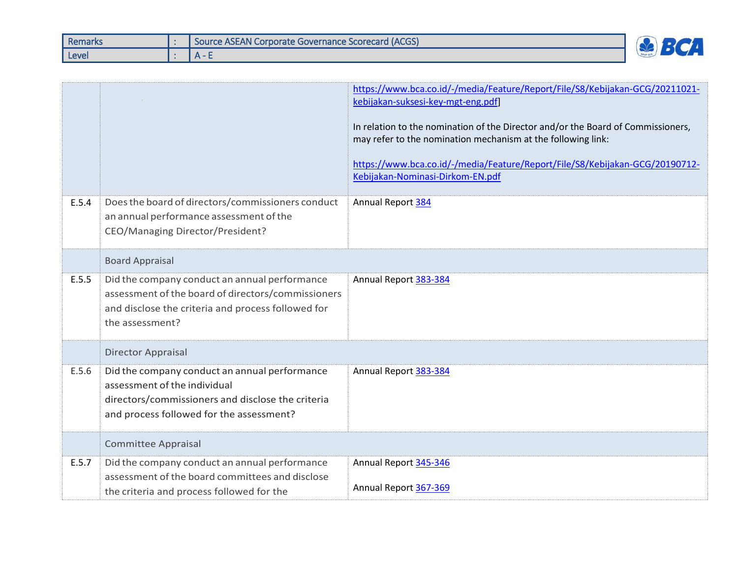| <b>Remarks</b> | Source ASEAN Corporate Governance Scorecard (ACGS) | $\overline{1}$ |
|----------------|----------------------------------------------------|----------------|
| Level          | $\mathbf{v}$                                       |                |

|       |                                                                                                                                                                                | https://www.bca.co.id/-/media/Feature/Report/File/S8/Kebijakan-GCG/20211021-<br>kebijakan-suksesi-key-mgt-eng.pdf]<br>In relation to the nomination of the Director and/or the Board of Commissioners,<br>may refer to the nomination mechanism at the following link:<br>https://www.bca.co.id/-/media/Feature/Report/File/S8/Kebijakan-GCG/20190712-<br>Kebijakan-Nominasi-Dirkom-EN.pdf |
|-------|--------------------------------------------------------------------------------------------------------------------------------------------------------------------------------|--------------------------------------------------------------------------------------------------------------------------------------------------------------------------------------------------------------------------------------------------------------------------------------------------------------------------------------------------------------------------------------------|
| E.5.4 | Does the board of directors/commissioners conduct<br>an annual performance assessment of the<br>CEO/Managing Director/President?                                               | Annual Report 384                                                                                                                                                                                                                                                                                                                                                                          |
|       | <b>Board Appraisal</b>                                                                                                                                                         |                                                                                                                                                                                                                                                                                                                                                                                            |
| E.5.5 | Did the company conduct an annual performance<br>assessment of the board of directors/commissioners<br>and disclose the criteria and process followed for<br>the assessment?   | Annual Report 383-384                                                                                                                                                                                                                                                                                                                                                                      |
|       | <b>Director Appraisal</b>                                                                                                                                                      |                                                                                                                                                                                                                                                                                                                                                                                            |
| E.5.6 | Did the company conduct an annual performance<br>assessment of the individual<br>directors/commissioners and disclose the criteria<br>and process followed for the assessment? | Annual Report 383-384                                                                                                                                                                                                                                                                                                                                                                      |
|       | <b>Committee Appraisal</b>                                                                                                                                                     |                                                                                                                                                                                                                                                                                                                                                                                            |
| E.5.7 | Did the company conduct an annual performance<br>assessment of the board committees and disclose<br>the criteria and process followed for the                                  | Annual Report 345-346<br>Annual Report 367-369                                                                                                                                                                                                                                                                                                                                             |